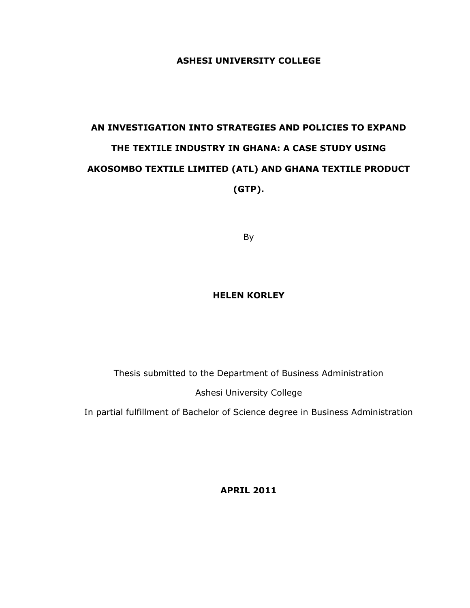# **ASHESI UNIVERSITY COLLEGE**

# **AN INVESTIGATION INTO STRATEGIES AND POLICIES TO EXPAND THE TEXTILE INDUSTRY IN GHANA: A CASE STUDY USING AKOSOMBO TEXTILE LIMITED (ATL) AND GHANA TEXTILE PRODUCT (GTP).**

By

# **HELEN KORLEY**

Thesis submitted to the Department of Business Administration

Ashesi University College

In partial fulfillment of Bachelor of Science degree in Business Administration

**APRIL 2011**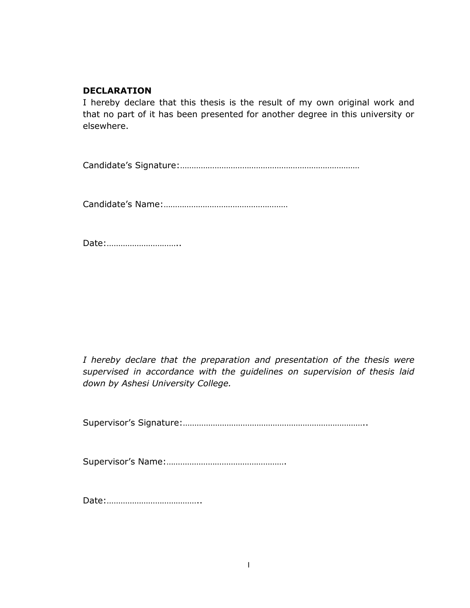# <span id="page-1-0"></span>**DECLARATION**

I hereby declare that this thesis is the result of my own original work and that no part of it has been presented for another degree in this university or elsewhere.

Candidate"s Signature:……………………………………………………………………

Candidate"s Name:………………………………………………

Date:…………………………..

*I hereby declare that the preparation and presentation of the thesis were supervised in accordance with the guidelines on supervision of thesis laid down by Ashesi University College.*

Supervisor"s Signature:……………………………………………………………………..

Supervisor"s Name:…………………………………………….

Date:…………………………………..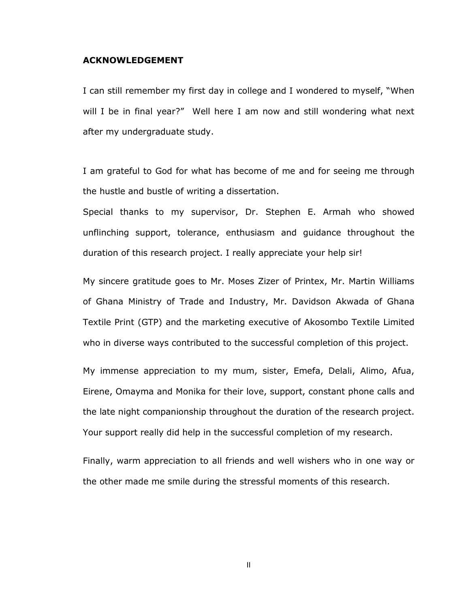#### <span id="page-2-0"></span>**ACKNOWLEDGEMENT**

I can still remember my first day in college and I wondered to myself, "When will I be in final year?" Well here I am now and still wondering what next after my undergraduate study.

I am grateful to God for what has become of me and for seeing me through the hustle and bustle of writing a dissertation.

Special thanks to my supervisor, Dr. Stephen E. Armah who showed unflinching support, tolerance, enthusiasm and guidance throughout the duration of this research project. I really appreciate your help sir!

My sincere gratitude goes to Mr. Moses Zizer of Printex, Mr. Martin Williams of Ghana Ministry of Trade and Industry, Mr. Davidson Akwada of Ghana Textile Print (GTP) and the marketing executive of Akosombo Textile Limited who in diverse ways contributed to the successful completion of this project.

My immense appreciation to my mum, sister, Emefa, Delali, Alimo, Afua, Eirene, Omayma and Monika for their love, support, constant phone calls and the late night companionship throughout the duration of the research project. Your support really did help in the successful completion of my research.

Finally, warm appreciation to all friends and well wishers who in one way or the other made me smile during the stressful moments of this research.

II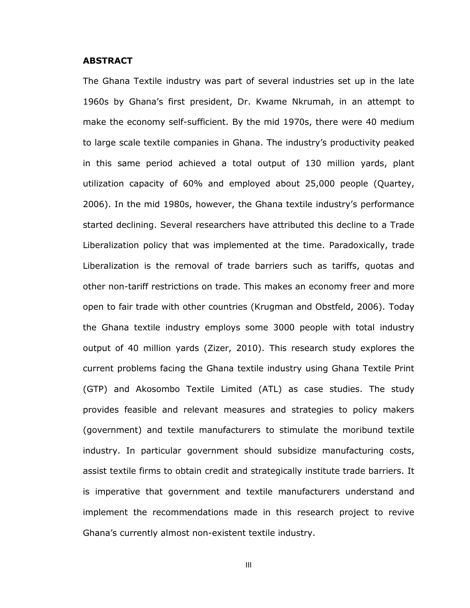#### <span id="page-3-0"></span>**ABSTRACT**

The Ghana Textile industry was part of several industries set up in the late 1960s by Ghana"s first president, Dr. Kwame Nkrumah, in an attempt to make the economy self-sufficient. By the mid 1970s, there were 40 medium to large scale textile companies in Ghana. The industry"s productivity peaked in this same period achieved a total output of 130 million yards, plant utilization capacity of 60% and employed about 25,000 people (Quartey, 2006). In the mid 1980s, however, the Ghana textile industry"s performance started declining. Several researchers have attributed this decline to a Trade Liberalization policy that was implemented at the time. Paradoxically, trade Liberalization is the removal of trade barriers such as tariffs, quotas and other non-tariff restrictions on trade. This makes an economy freer and more open to fair trade with other countries (Krugman and Obstfeld, 2006). Today the Ghana textile industry employs some 3000 people with total industry output of 40 million yards (Zizer, 2010). This research study explores the current problems facing the Ghana textile industry using Ghana Textile Print (GTP) and Akosombo Textile Limited (ATL) as case studies. The study provides feasible and relevant measures and strategies to policy makers (government) and textile manufacturers to stimulate the moribund textile industry. In particular government should subsidize manufacturing costs, assist textile firms to obtain credit and strategically institute trade barriers. It is imperative that government and textile manufacturers understand and implement the recommendations made in this research project to revive Ghana"s currently almost non-existent textile industry.

III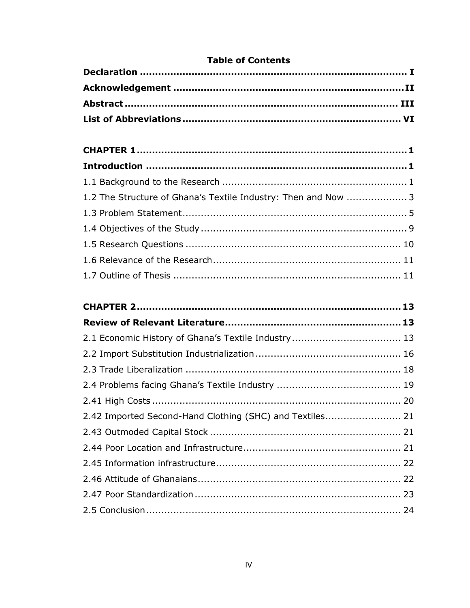# **Table of Contents**

| 1.2 The Structure of Ghana's Textile Industry: Then and Now  3 |  |
|----------------------------------------------------------------|--|
|                                                                |  |
|                                                                |  |
|                                                                |  |
|                                                                |  |
|                                                                |  |

| 2.42 Imported Second-Hand Clothing (SHC) and Textiles 21 |  |
|----------------------------------------------------------|--|
|                                                          |  |
|                                                          |  |
|                                                          |  |
|                                                          |  |
|                                                          |  |
|                                                          |  |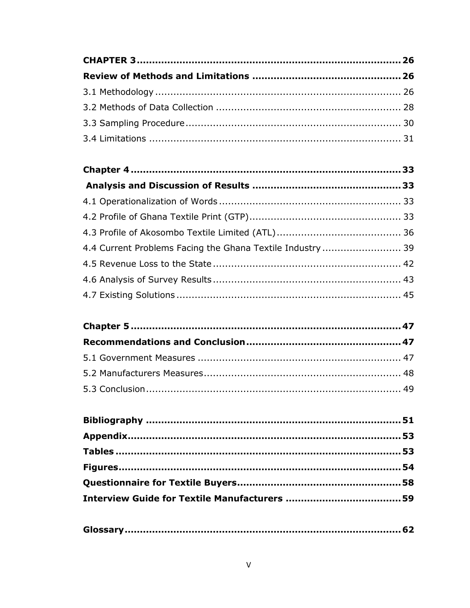| 4.4 Current Problems Facing the Ghana Textile Industry  39 |  |
|------------------------------------------------------------|--|
|                                                            |  |
|                                                            |  |
|                                                            |  |

|--|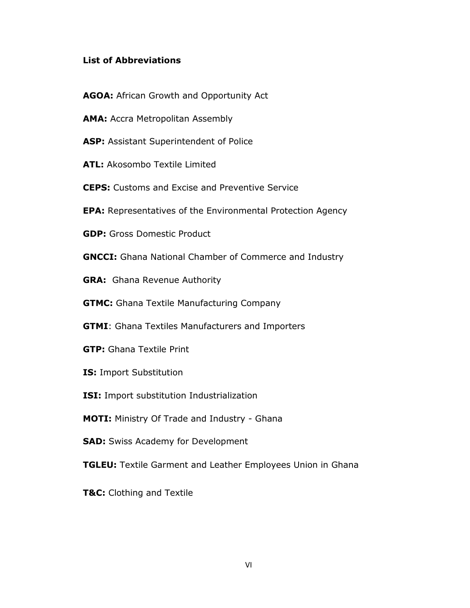# <span id="page-6-0"></span>**List of Abbreviations**

- **AGOA:** African Growth and Opportunity Act
- **AMA: Accra Metropolitan Assembly**
- **ASP:** Assistant Superintendent of Police
- **ATL:** Akosombo Textile Limited
- **CEPS:** Customs and Excise and Preventive Service
- **EPA:** Representatives of the Environmental Protection Agency
- **GDP:** Gross Domestic Product
- **GNCCI:** Ghana National Chamber of Commerce and Industry
- **GRA:** Ghana Revenue Authority
- **GTMC:** Ghana Textile Manufacturing Company
- **GTMI**: Ghana Textiles Manufacturers and Importers
- **GTP:** Ghana Textile Print
- **IS:** Import Substitution
- **ISI:** Import substitution Industrialization
- **MOTI:** Ministry Of Trade and Industry Ghana
- **SAD:** Swiss Academy for Development
- **TGLEU:** Textile Garment and Leather Employees Union in Ghana
- **T&C:** Clothing and Textile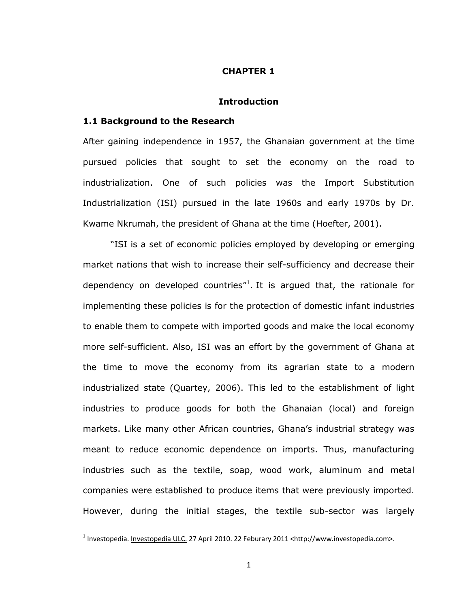#### **CHAPTER 1**

## **Introduction**

#### <span id="page-7-2"></span><span id="page-7-1"></span><span id="page-7-0"></span>**1.1 Background to the Research**

l

After gaining independence in 1957, the Ghanaian government at the time pursued policies that sought to set the economy on the road to industrialization. One of such policies was the Import Substitution Industrialization (ISI) pursued in the late 1960s and early 1970s by Dr. Kwame Nkrumah, the president of Ghana at the time (Hoefter, 2001).

"ISI is a set of economic policies employed by developing or emerging market nations that wish to increase their self-sufficiency and decrease their dependency on developed countries $"$ <sup>1</sup>. It is argued that, the rationale for implementing these policies is for the protection of domestic infant industries to enable them to compete with imported goods and make the local economy more self-sufficient. Also, ISI was an effort by the government of Ghana at the time to move the economy from its agrarian state to a modern industrialized state (Quartey, 2006). This led to the establishment of light industries to produce goods for both the Ghanaian (local) and foreign markets. Like many other African countries, Ghana"s industrial strategy was meant to reduce economic dependence on imports. Thus, manufacturing industries such as the textile, soap, wood work, aluminum and metal companies were established to produce items that were previously imported. However, during the initial stages, the textile sub-sector was largely

<sup>&</sup>lt;sup>1</sup> Investopedia. <u>Investopedia ULC.</u> 27 April 2010. 22 Feburary 2011 <http://www.investopedia.com>.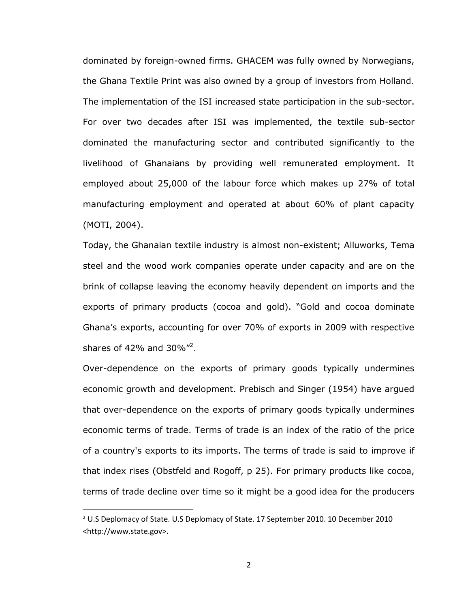dominated by foreign-owned firms. GHACEM was fully owned by Norwegians, the Ghana Textile Print was also owned by a group of investors from Holland. The implementation of the ISI increased state participation in the sub-sector. For over two decades after ISI was implemented, the textile sub-sector dominated the manufacturing sector and contributed significantly to the livelihood of Ghanaians by providing well remunerated employment. It employed about 25,000 of the labour force which makes up 27% of total manufacturing employment and operated at about 60% of plant capacity (MOTI, 2004).

Today, the Ghanaian textile industry is almost non-existent; Alluworks, Tema steel and the wood work companies operate under capacity and are on the brink of collapse leaving the economy heavily dependent on imports and the exports of primary products (cocoa and gold). "Gold and cocoa dominate Ghana"s exports, accounting for over 70% of exports in 2009 with respective shares of 42% and 30%"<sup>2</sup>.

Over-dependence on the exports of primary goods typically undermines economic growth and development. Prebisch and Singer (1954) have argued that over-dependence on the exports of primary goods typically undermines economic terms of trade. Terms of trade is an index of the ratio of the price of a country's exports to its imports. The terms of trade is said to improve if that index rises (Obstfeld and Rogoff, p 25). For primary products like cocoa, terms of trade decline over time so it might be a good idea for the producers

l

<sup>&</sup>lt;sup>2</sup> U.S Deplomacy of State. U.S Deplomacy of State. 17 September 2010. 10 December 2010 <http://www.state.gov>.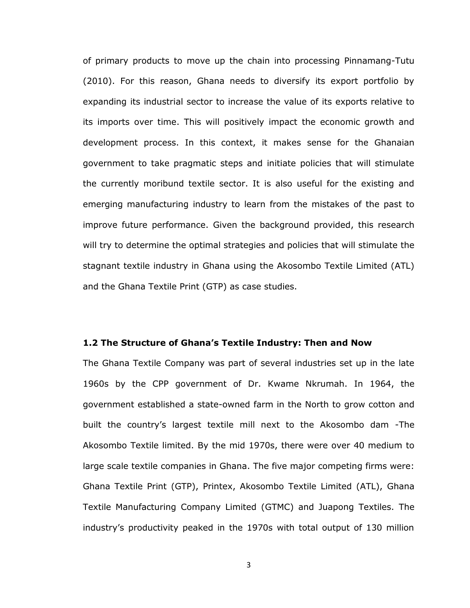of primary products to move up the chain into processing Pinnamang-Tutu (2010). For this reason, Ghana needs to diversify its export portfolio by expanding its industrial sector to increase the value of its exports relative to its imports over time. This will positively impact the economic growth and development process. In this context, it makes sense for the Ghanaian government to take pragmatic steps and initiate policies that will stimulate the currently moribund textile sector. It is also useful for the existing and emerging manufacturing industry to learn from the mistakes of the past to improve future performance. Given the background provided, this research will try to determine the optimal strategies and policies that will stimulate the stagnant textile industry in Ghana using the Akosombo Textile Limited (ATL) and the Ghana Textile Print (GTP) as case studies.

#### <span id="page-9-0"></span>**1.2 The Structure of Ghana's Textile Industry: Then and Now**

The Ghana Textile Company was part of several industries set up in the late 1960s by the CPP government of Dr. Kwame Nkrumah. In 1964, the government established a state-owned farm in the North to grow cotton and built the country"s largest textile mill next to the Akosombo dam -The Akosombo Textile limited. By the mid 1970s, there were over 40 medium to large scale textile companies in Ghana. The five major competing firms were: Ghana Textile Print (GTP), Printex, Akosombo Textile Limited (ATL), Ghana Textile Manufacturing Company Limited (GTMC) and Juapong Textiles. The industry"s productivity peaked in the 1970s with total output of 130 million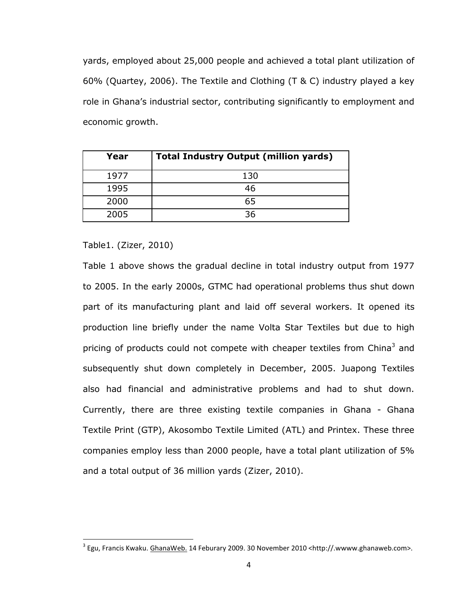yards, employed about 25,000 people and achieved a total plant utilization of 60% (Quartey, 2006). The Textile and Clothing (T & C) industry played a key role in Ghana"s industrial sector, contributing significantly to employment and economic growth.

| Year | <b>Total Industry Output (million yards)</b> |  |  |  |  |
|------|----------------------------------------------|--|--|--|--|
| 1977 | 130                                          |  |  |  |  |
| 1995 | 46                                           |  |  |  |  |
| 2000 | 65                                           |  |  |  |  |
| 2005 | 36                                           |  |  |  |  |

Table1. (Zizer, 2010)

 $\overline{\phantom{a}}$ 

Table 1 above shows the gradual decline in total industry output from 1977 to 2005. In the early 2000s, GTMC had operational problems thus shut down part of its manufacturing plant and laid off several workers. It opened its production line briefly under the name Volta Star Textiles but due to high pricing of products could not compete with cheaper textiles from China $3$  and subsequently shut down completely in December, 2005. Juapong Textiles also had financial and administrative problems and had to shut down. Currently, there are three existing textile companies in Ghana - Ghana Textile Print (GTP), Akosombo Textile Limited (ATL) and Printex. These three companies employ less than 2000 people, have a total plant utilization of 5% and a total output of 36 million yards (Zizer, 2010).

 $^3$  Egu, Francis Kwaku. <u>GhanaWeb.</u> 14 Feburary 2009. 30 November 2010 <http://.wwww.ghanaweb.com>.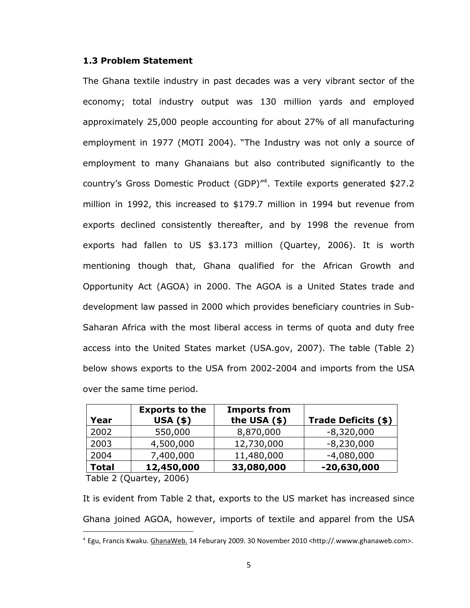# <span id="page-11-0"></span>**1.3 Problem Statement**

The Ghana textile industry in past decades was a very vibrant sector of the economy; total industry output was 130 million yards and employed approximately 25,000 people accounting for about 27% of all manufacturing employment in 1977 (MOTI 2004). "The Industry was not only a source of employment to many Ghanaians but also contributed significantly to the country's Gross Domestic Product (GDP)"<sup>4</sup>. Textile exports generated \$27.2 million in 1992, this increased to \$179.7 million in 1994 but revenue from exports declined consistently thereafter, and by 1998 the revenue from exports had fallen to US \$3.173 million (Quartey, 2006). It is worth mentioning though that, Ghana qualified for the African Growth and Opportunity Act (AGOA) in 2000. The AGOA is a United States trade and development law passed in 2000 which provides beneficiary countries in Sub-Saharan Africa with the most liberal access in terms of quota and duty free access into the United States market (USA.gov, 2007). The table (Table 2) below shows exports to the USA from 2002-2004 and imports from the USA over the same time period.

| Year         | <b>Exports to the</b><br><b>USA (\$)</b> | <b>Imports from</b><br>the USA $($ \$ $)$ | Trade Deficits (\$) |
|--------------|------------------------------------------|-------------------------------------------|---------------------|
| 2002         | 550,000                                  | 8,870,000                                 | $-8,320,000$        |
| 2003         | 4,500,000                                | 12,730,000                                | $-8,230,000$        |
| 2004         | 7,400,000                                | 11,480,000                                | $-4,080,000$        |
| <b>Total</b> | 12,450,000                               | 33,080,000                                | $-20,630,000$       |

Table 2 (Quartey, 2006)

It is evident from Table 2 that, exports to the US market has increased since Ghana joined AGOA, however, imports of textile and apparel from the USA  $\overline{\phantom{a}}$ 

<sup>4</sup> Egu, Francis Kwaku. GhanaWeb. 14 Feburary 2009. 30 November 2010 <http://.wwww.ghanaweb.com>.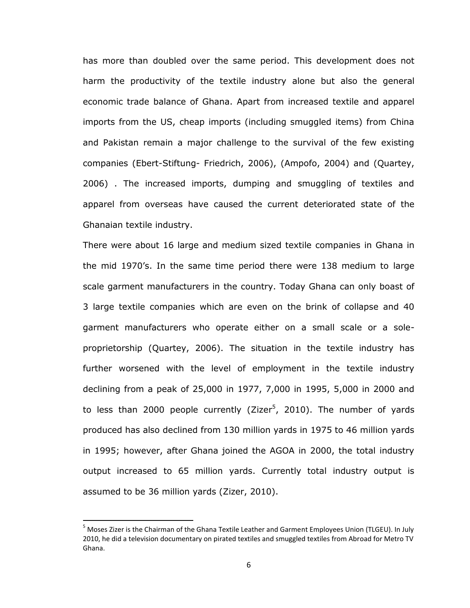has more than doubled over the same period. This development does not harm the productivity of the textile industry alone but also the general economic trade balance of Ghana. Apart from increased textile and apparel imports from the US, cheap imports (including smuggled items) from China and Pakistan remain a major challenge to the survival of the few existing companies (Ebert-Stiftung- Friedrich, 2006), (Ampofo, 2004) and (Quartey, 2006) . The increased imports, dumping and smuggling of textiles and apparel from overseas have caused the current deteriorated state of the Ghanaian textile industry.

There were about 16 large and medium sized textile companies in Ghana in the mid 1970"s. In the same time period there were 138 medium to large scale garment manufacturers in the country. Today Ghana can only boast of 3 large textile companies which are even on the brink of collapse and 40 garment manufacturers who operate either on a small scale or a soleproprietorship (Quartey, 2006). The situation in the textile industry has further worsened with the level of employment in the textile industry declining from a peak of 25,000 in 1977, 7,000 in 1995, 5,000 in 2000 and to less than 2000 people currently (Zizer<sup>5</sup>, 2010). The number of yards produced has also declined from 130 million yards in 1975 to 46 million yards in 1995; however, after Ghana joined the AGOA in 2000, the total industry output increased to 65 million yards. Currently total industry output is assumed to be 36 million yards (Zizer, 2010).

 $\overline{\phantom{a}}$ 

<sup>&</sup>lt;sup>5</sup> Moses Zizer is the Chairman of the Ghana Textile Leather and Garment Employees Union (TLGEU). In July 2010, he did a television documentary on pirated textiles and smuggled textiles from Abroad for Metro TV Ghana.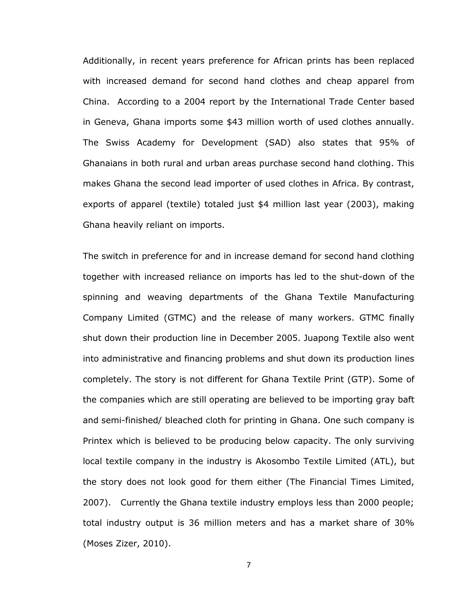Additionally, in recent years preference for African prints has been replaced with increased demand for second hand clothes and cheap apparel from China. According to a 2004 report by the International Trade Center based in Geneva, Ghana imports some \$43 million worth of used clothes annually. The Swiss Academy for Development (SAD) also states that 95% of Ghanaians in both rural and urban areas purchase second hand clothing. This makes Ghana the second lead importer of used clothes in Africa. By contrast, exports of apparel (textile) totaled just \$4 million last year (2003), making Ghana heavily reliant on imports.

The switch in preference for and in increase demand for second hand clothing together with increased reliance on imports has led to the shut-down of the spinning and weaving departments of the Ghana Textile Manufacturing Company Limited (GTMC) and the release of many workers. GTMC finally shut down their production line in December 2005. Juapong Textile also went into administrative and financing problems and shut down its production lines completely. The story is not different for Ghana Textile Print (GTP). Some of the companies which are still operating are believed to be importing gray baft and semi-finished/ bleached cloth for printing in Ghana. One such company is Printex which is believed to be producing below capacity. The only surviving local textile company in the industry is Akosombo Textile Limited (ATL), but the story does not look good for them either (The Financial Times Limited, 2007). Currently the Ghana textile industry employs less than 2000 people; total industry output is 36 million meters and has a market share of 30% (Moses Zizer, 2010).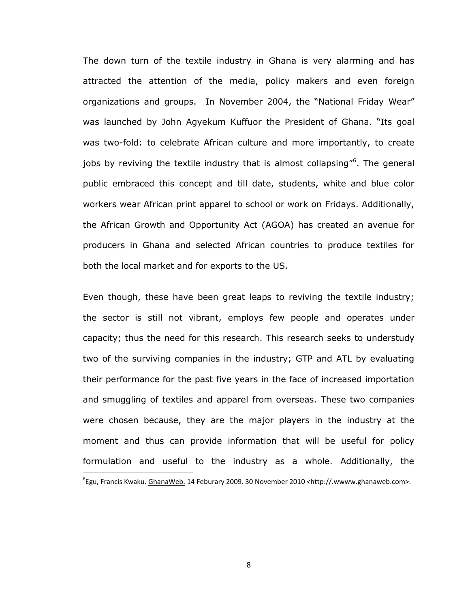The down turn of the textile industry in Ghana is very alarming and has attracted the attention of the media, policy makers and even foreign organizations and groups. In November 2004, the "National Friday Wear" was launched by John Agyekum Kuffuor the President of Ghana. "Its goal was two-fold: to celebrate African culture and more importantly, to create jobs by reviving the textile industry that is almost collapsing"<sup>6</sup>. The general public embraced this concept and till date, students, white and blue color workers wear African print apparel to school or work on Fridays. Additionally, the African Growth and Opportunity Act (AGOA) has created an avenue for producers in Ghana and selected African countries to produce textiles for both the local market and for exports to the US.

Even though, these have been great leaps to reviving the textile industry; the sector is still not vibrant, employs few people and operates under capacity; thus the need for this research. This research seeks to understudy two of the surviving companies in the industry; GTP and ATL by evaluating their performance for the past five years in the face of increased importation and smuggling of textiles and apparel from overseas. These two companies were chosen because, they are the major players in the industry at the moment and thus can provide information that will be useful for policy formulation and useful to the industry as a whole. Additionally, the  $\overline{\phantom{a}}$ 

<sup>6</sup> Egu, Francis Kwaku. GhanaWeb. 14 Feburary 2009. 30 November 2010 <http://.wwww.ghanaweb.com>.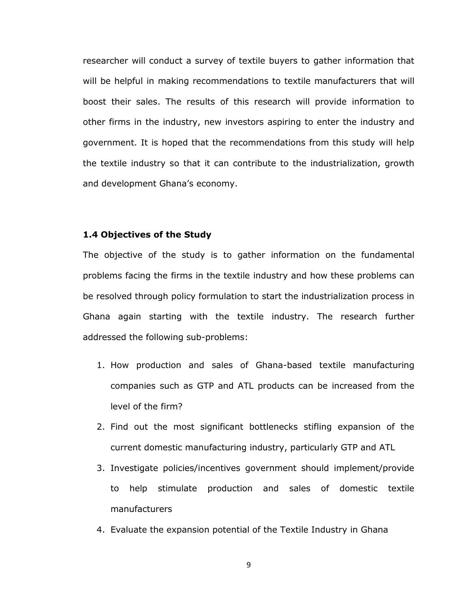researcher will conduct a survey of textile buyers to gather information that will be helpful in making recommendations to textile manufacturers that will boost their sales. The results of this research will provide information to other firms in the industry, new investors aspiring to enter the industry and government. It is hoped that the recommendations from this study will help the textile industry so that it can contribute to the industrialization, growth and development Ghana's economy.

#### <span id="page-15-0"></span>**1.4 Objectives of the Study**

The objective of the study is to gather information on the fundamental problems facing the firms in the textile industry and how these problems can be resolved through policy formulation to start the industrialization process in Ghana again starting with the textile industry. The research further addressed the following sub-problems:

- 1. How production and sales of Ghana-based textile manufacturing companies such as GTP and ATL products can be increased from the level of the firm?
- 2. Find out the most significant bottlenecks stifling expansion of the current domestic manufacturing industry, particularly GTP and ATL
- 3. Investigate policies/incentives government should implement/provide to help stimulate production and sales of domestic textile manufacturers
- 4. Evaluate the expansion potential of the Textile Industry in Ghana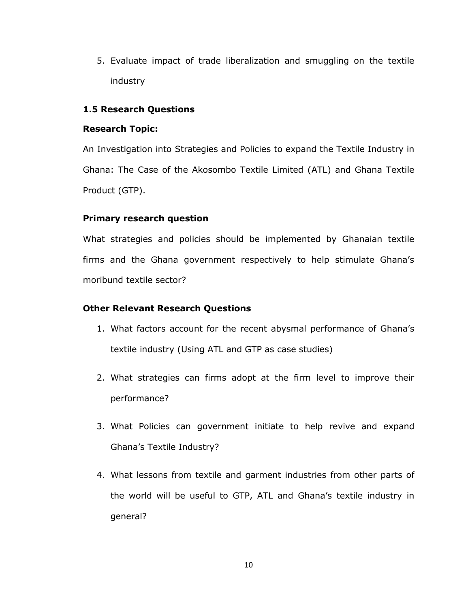5. Evaluate impact of trade liberalization and smuggling on the textile industry

# <span id="page-16-0"></span>**1.5 Research Questions**

# **Research Topic:**

An Investigation into Strategies and Policies to expand the Textile Industry in Ghana: The Case of the Akosombo Textile Limited (ATL) and Ghana Textile Product (GTP).

# **Primary research question**

What strategies and policies should be implemented by Ghanaian textile firms and the Ghana government respectively to help stimulate Ghana's moribund textile sector?

# **Other Relevant Research Questions**

- 1. What factors account for the recent abysmal performance of Ghana"s textile industry (Using ATL and GTP as case studies)
- 2. What strategies can firms adopt at the firm level to improve their performance?
- 3. What Policies can government initiate to help revive and expand Ghana"s Textile Industry?
- 4. What lessons from textile and garment industries from other parts of the world will be useful to GTP, ATL and Ghana"s textile industry in general?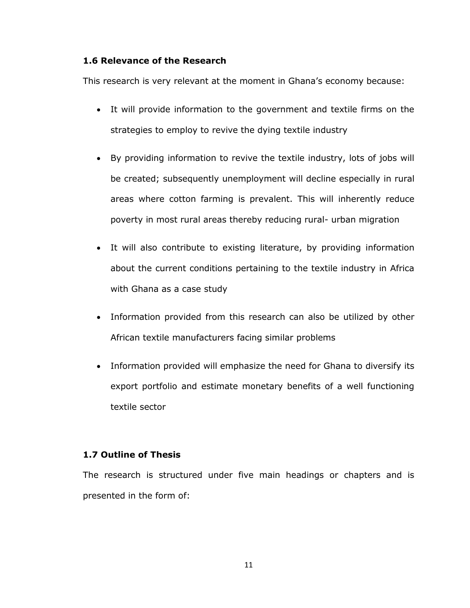# <span id="page-17-0"></span>**1.6 Relevance of the Research**

This research is very relevant at the moment in Ghana's economy because:

- It will provide information to the government and textile firms on the strategies to employ to revive the dying textile industry
- By providing information to revive the textile industry, lots of jobs will be created; subsequently unemployment will decline especially in rural areas where cotton farming is prevalent. This will inherently reduce poverty in most rural areas thereby reducing rural- urban migration
- It will also contribute to existing literature, by providing information about the current conditions pertaining to the textile industry in Africa with Ghana as a case study
- Information provided from this research can also be utilized by other African textile manufacturers facing similar problems
- Information provided will emphasize the need for Ghana to diversify its export portfolio and estimate monetary benefits of a well functioning textile sector

# <span id="page-17-1"></span>**1.7 Outline of Thesis**

The research is structured under five main headings or chapters and is presented in the form of: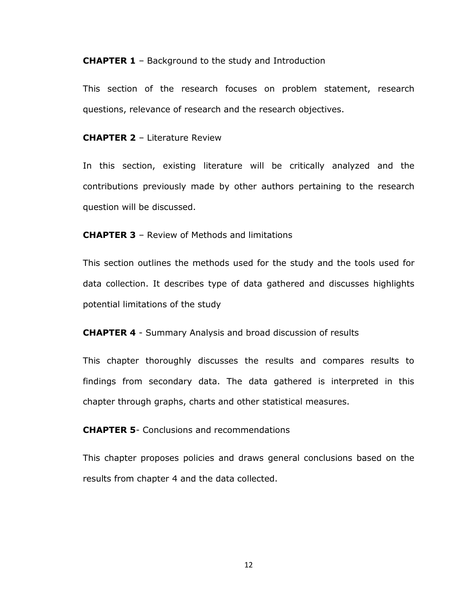**CHAPTER 1** – Background to the study and Introduction

This section of the research focuses on problem statement, research questions, relevance of research and the research objectives.

**CHAPTER 2** – Literature Review

In this section, existing literature will be critically analyzed and the contributions previously made by other authors pertaining to the research question will be discussed.

**CHAPTER 3** – Review of Methods and limitations

This section outlines the methods used for the study and the tools used for data collection. It describes type of data gathered and discusses highlights potential limitations of the study

**CHAPTER 4** - Summary Analysis and broad discussion of results

This chapter thoroughly discusses the results and compares results to findings from secondary data. The data gathered is interpreted in this chapter through graphs, charts and other statistical measures.

**CHAPTER 5**- Conclusions and recommendations

This chapter proposes policies and draws general conclusions based on the results from chapter 4 and the data collected.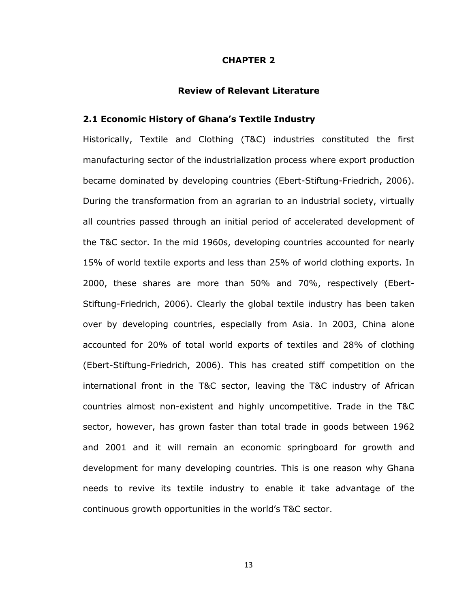#### **CHAPTER 2**

#### **Review of Relevant Literature**

# <span id="page-19-2"></span><span id="page-19-1"></span><span id="page-19-0"></span>**2.1 Economic History of Ghana's Textile Industry**

Historically, Textile and Clothing (T&C) industries constituted the first manufacturing sector of the industrialization process where export production became dominated by developing countries (Ebert-Stiftung-Friedrich, 2006). During the transformation from an agrarian to an industrial society, virtually all countries passed through an initial period of accelerated development of the T&C sector. In the mid 1960s, developing countries accounted for nearly 15% of world textile exports and less than 25% of world clothing exports. In 2000, these shares are more than 50% and 70%, respectively (Ebert-Stiftung-Friedrich, 2006). Clearly the global textile industry has been taken over by developing countries, especially from Asia. In 2003, China alone accounted for 20% of total world exports of textiles and 28% of clothing (Ebert-Stiftung-Friedrich, 2006). This has created stiff competition on the international front in the T&C sector, leaving the T&C industry of African countries almost non-existent and highly uncompetitive. Trade in the T&C sector, however, has grown faster than total trade in goods between 1962 and 2001 and it will remain an economic springboard for growth and development for many developing countries. This is one reason why Ghana needs to revive its textile industry to enable it take advantage of the continuous growth opportunities in the world"s T&C sector.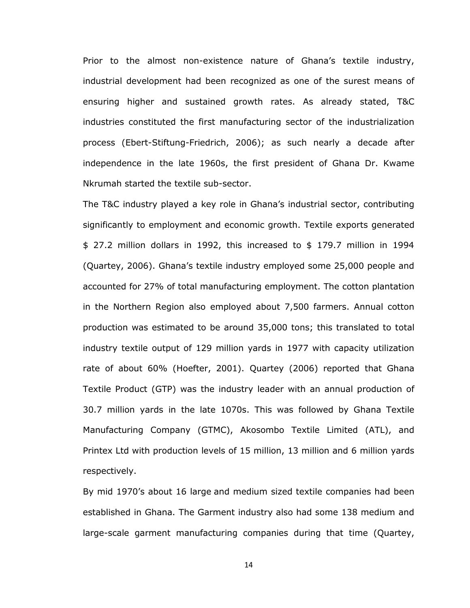Prior to the almost non-existence nature of Ghana's textile industry, industrial development had been recognized as one of the surest means of ensuring higher and sustained growth rates. As already stated, T&C industries constituted the first manufacturing sector of the industrialization process (Ebert-Stiftung-Friedrich, 2006); as such nearly a decade after independence in the late 1960s, the first president of Ghana Dr. Kwame Nkrumah started the textile sub-sector.

The T&C industry played a key role in Ghana"s industrial sector, contributing significantly to employment and economic growth. Textile exports generated \$ 27.2 million dollars in 1992, this increased to \$ 179.7 million in 1994 (Quartey, 2006). Ghana"s textile industry employed some 25,000 people and accounted for 27% of total manufacturing employment. The cotton plantation in the Northern Region also employed about 7,500 farmers. Annual cotton production was estimated to be around 35,000 tons; this translated to total industry textile output of 129 million yards in 1977 with capacity utilization rate of about 60% (Hoefter, 2001). Quartey (2006) reported that Ghana Textile Product (GTP) was the industry leader with an annual production of 30.7 million yards in the late 1070s. This was followed by Ghana Textile Manufacturing Company (GTMC), Akosombo Textile Limited (ATL), and Printex Ltd with production levels of 15 million, 13 million and 6 million yards respectively.

By mid 1970's about 16 large and medium sized textile companies had been established in Ghana. The Garment industry also had some 138 medium and large-scale garment manufacturing companies during that time (Quartey,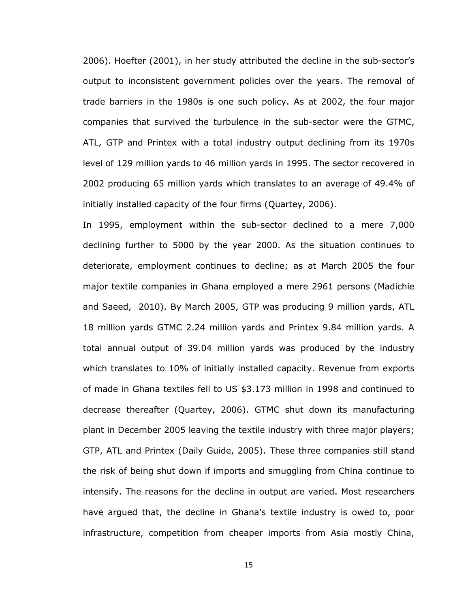2006). Hoefter (2001), in her study attributed the decline in the sub-sector"s output to inconsistent government policies over the years. The removal of trade barriers in the 1980s is one such policy. As at 2002, the four major companies that survived the turbulence in the sub-sector were the GTMC, ATL, GTP and Printex with a total industry output declining from its 1970s level of 129 million yards to 46 million yards in 1995. The sector recovered in 2002 producing 65 million yards which translates to an average of 49.4% of initially installed capacity of the four firms (Quartey, 2006).

In 1995, employment within the sub-sector declined to a mere 7,000 declining further to 5000 by the year 2000. As the situation continues to deteriorate, employment continues to decline; as at March 2005 the four major textile companies in Ghana employed a mere 2961 persons (Madichie and Saeed, 2010). By March 2005, GTP was producing 9 million yards, ATL 18 million yards GTMC 2.24 million yards and Printex 9.84 million yards. A total annual output of 39.04 million yards was produced by the industry which translates to 10% of initially installed capacity. Revenue from exports of made in Ghana textiles fell to US \$3.173 million in 1998 and continued to decrease thereafter (Quartey, 2006). GTMC shut down its manufacturing plant in December 2005 leaving the textile industry with three major players; GTP, ATL and Printex (Daily Guide, 2005). These three companies still stand the risk of being shut down if imports and smuggling from China continue to intensify. The reasons for the decline in output are varied. Most researchers have argued that, the decline in Ghana's textile industry is owed to, poor infrastructure, competition from cheaper imports from Asia mostly China,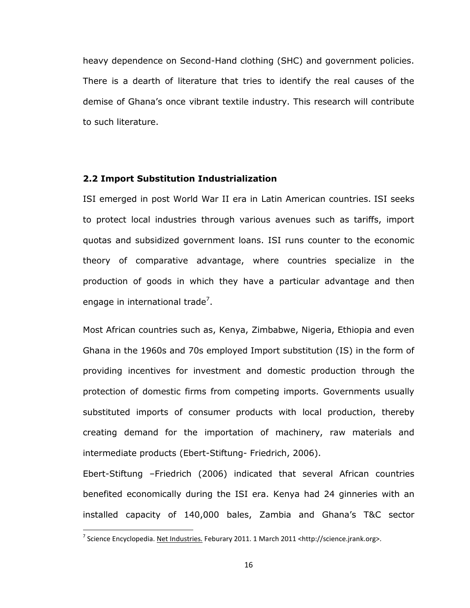heavy dependence on Second-Hand clothing (SHC) and government policies. There is a dearth of literature that tries to identify the real causes of the demise of Ghana"s once vibrant textile industry. This research will contribute to such literature.

#### <span id="page-22-0"></span>**2.2 Import Substitution Industrialization**

ISI emerged in post World War II era in Latin American countries. ISI seeks to protect local industries through various avenues such as tariffs, import quotas and subsidized government loans. ISI runs counter to the economic theory of comparative advantage, where countries specialize in the production of goods in which they have a particular advantage and then engage in international trade<sup>7</sup>.

Most African countries such as, Kenya, Zimbabwe, Nigeria, Ethiopia and even Ghana in the 1960s and 70s employed Import substitution (IS) in the form of providing incentives for investment and domestic production through the protection of domestic firms from competing imports. Governments usually substituted imports of consumer products with local production, thereby creating demand for the importation of machinery, raw materials and intermediate products (Ebert-Stiftung- Friedrich, 2006).

Ebert-Stiftung –Friedrich (2006) indicated that several African countries benefited economically during the ISI era. Kenya had 24 ginneries with an installed capacity of 140,000 bales, Zambia and Ghana"s T&C sector

 7 Science Encyclopedia. Net Industries. Feburary 2011. 1 March 2011 <http://science.jrank.org>.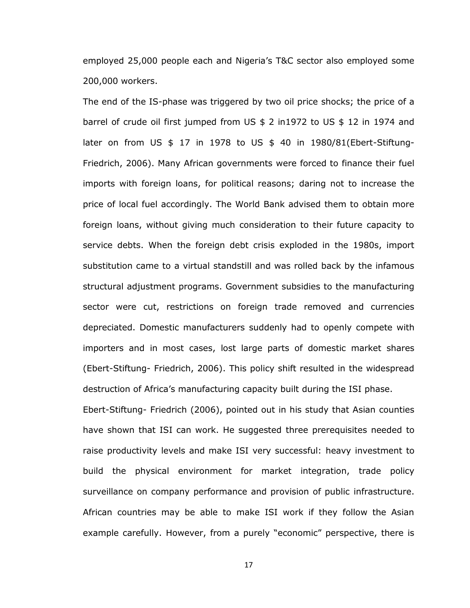employed 25,000 people each and Nigeria"s T&C sector also employed some 200,000 workers.

The end of the IS-phase was triggered by two oil price shocks; the price of a barrel of crude oil first jumped from US \$ 2 in1972 to US \$ 12 in 1974 and later on from US \$ 17 in 1978 to US \$ 40 in 1980/81(Ebert-Stiftung-Friedrich, 2006). Many African governments were forced to finance their fuel imports with foreign loans, for political reasons; daring not to increase the price of local fuel accordingly. The World Bank advised them to obtain more foreign loans, without giving much consideration to their future capacity to service debts. When the foreign debt crisis exploded in the 1980s, import substitution came to a virtual standstill and was rolled back by the infamous structural adjustment programs. Government subsidies to the manufacturing sector were cut, restrictions on foreign trade removed and currencies depreciated. Domestic manufacturers suddenly had to openly compete with importers and in most cases, lost large parts of domestic market shares (Ebert-Stiftung- Friedrich, 2006). This policy shift resulted in the widespread destruction of Africa"s manufacturing capacity built during the ISI phase.

Ebert-Stiftung- Friedrich (2006), pointed out in his study that Asian counties have shown that ISI can work. He suggested three prerequisites needed to raise productivity levels and make ISI very successful: heavy investment to build the physical environment for market integration, trade policy surveillance on company performance and provision of public infrastructure. African countries may be able to make ISI work if they follow the Asian example carefully. However, from a purely "economic" perspective, there is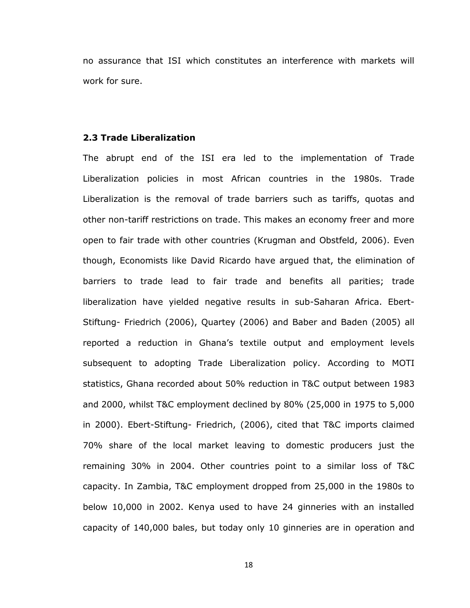no assurance that ISI which constitutes an interference with markets will work for sure.

### <span id="page-24-0"></span>**2.3 Trade Liberalization**

The abrupt end of the ISI era led to the implementation of Trade Liberalization policies in most African countries in the 1980s. Trade Liberalization is the removal of trade barriers such as tariffs, quotas and other non-tariff restrictions on trade. This makes an economy freer and more open to fair trade with other countries (Krugman and Obstfeld, 2006). Even though, Economists like David Ricardo have argued that, the elimination of barriers to trade lead to fair trade and benefits all parities; trade liberalization have yielded negative results in sub-Saharan Africa. Ebert-Stiftung- Friedrich (2006), Quartey (2006) and Baber and Baden (2005) all reported a reduction in Ghana"s textile output and employment levels subsequent to adopting Trade Liberalization policy. According to MOTI statistics, Ghana recorded about 50% reduction in T&C output between 1983 and 2000, whilst T&C employment declined by 80% (25,000 in 1975 to 5,000 in 2000). Ebert-Stiftung- Friedrich, (2006), cited that T&C imports claimed 70% share of the local market leaving to domestic producers just the remaining 30% in 2004. Other countries point to a similar loss of T&C capacity. In Zambia, T&C employment dropped from 25,000 in the 1980s to below 10,000 in 2002. Kenya used to have 24 ginneries with an installed capacity of 140,000 bales, but today only 10 ginneries are in operation and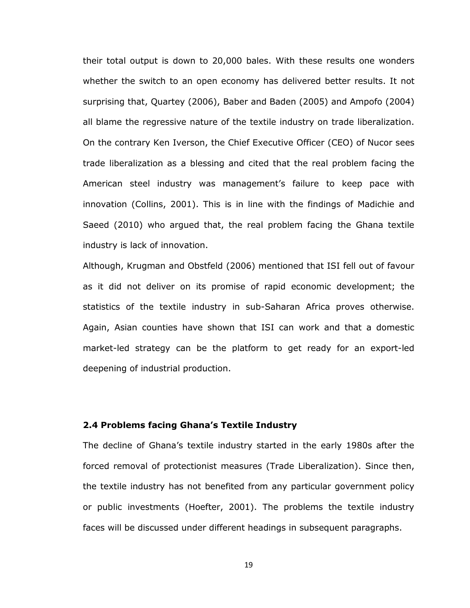their total output is down to 20,000 bales. With these results one wonders whether the switch to an open economy has delivered better results. It not surprising that, Quartey (2006), Baber and Baden (2005) and Ampofo (2004) all blame the regressive nature of the textile industry on trade liberalization. On the contrary Ken Iverson, the Chief Executive Officer (CEO) of Nucor sees trade liberalization as a blessing and cited that the real problem facing the American steel industry was management"s failure to keep pace with innovation (Collins, 2001). This is in line with the findings of Madichie and Saeed (2010) who argued that, the real problem facing the Ghana textile industry is lack of innovation.

Although, Krugman and Obstfeld (2006) mentioned that ISI fell out of favour as it did not deliver on its promise of rapid economic development; the statistics of the textile industry in sub-Saharan Africa proves otherwise. Again, Asian counties have shown that ISI can work and that a domestic market-led strategy can be the platform to get ready for an export-led deepening of industrial production.

#### <span id="page-25-0"></span>**2.4 Problems facing Ghana's Textile Industry**

The decline of Ghana"s textile industry started in the early 1980s after the forced removal of protectionist measures (Trade Liberalization). Since then, the textile industry has not benefited from any particular government policy or public investments (Hoefter, 2001). The problems the textile industry faces will be discussed under different headings in subsequent paragraphs.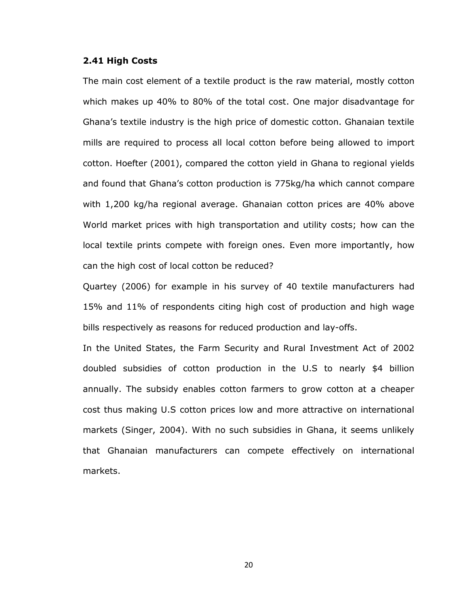#### <span id="page-26-0"></span>**2.41 High Costs**

The main cost element of a textile product is the raw material, mostly cotton which makes up 40% to 80% of the total cost. One major disadvantage for Ghana"s textile industry is the high price of domestic cotton. Ghanaian textile mills are required to process all local cotton before being allowed to import cotton. Hoefter (2001), compared the cotton yield in Ghana to regional yields and found that Ghana"s cotton production is 775kg/ha which cannot compare with 1,200 kg/ha regional average. Ghanaian cotton prices are 40% above World market prices with high transportation and utility costs; how can the local textile prints compete with foreign ones. Even more importantly, how can the high cost of local cotton be reduced?

Quartey (2006) for example in his survey of 40 textile manufacturers had 15% and 11% of respondents citing high cost of production and high wage bills respectively as reasons for reduced production and lay-offs.

In the United States, the Farm Security and Rural Investment Act of 2002 doubled subsidies of cotton production in the U.S to nearly \$4 billion annually. The subsidy enables cotton farmers to grow cotton at a cheaper cost thus making U.S cotton prices low and more attractive on international markets (Singer, 2004). With no such subsidies in Ghana, it seems unlikely that Ghanaian manufacturers can compete effectively on international markets.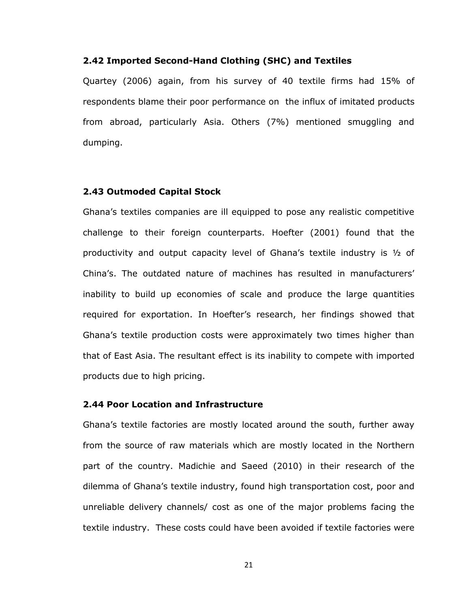#### <span id="page-27-0"></span>**2.42 Imported Second-Hand Clothing (SHC) and Textiles**

Quartey (2006) again, from his survey of 40 textile firms had 15% of respondents blame their poor performance on the influx of imitated products from abroad, particularly Asia. Others (7%) mentioned smuggling and dumping.

#### <span id="page-27-1"></span>**2.43 Outmoded Capital Stock**

Ghana"s textiles companies are ill equipped to pose any realistic competitive challenge to their foreign counterparts. Hoefter (2001) found that the productivity and output capacity level of Ghana"s textile industry is ½ of China's. The outdated nature of machines has resulted in manufacturers' inability to build up economies of scale and produce the large quantities required for exportation. In Hoefter"s research, her findings showed that Ghana"s textile production costs were approximately two times higher than that of East Asia. The resultant effect is its inability to compete with imported products due to high pricing.

#### <span id="page-27-2"></span>**2.44 Poor Location and Infrastructure**

Ghana"s textile factories are mostly located around the south, further away from the source of raw materials which are mostly located in the Northern part of the country. Madichie and Saeed (2010) in their research of the dilemma of Ghana"s textile industry, found high transportation cost, poor and unreliable delivery channels/ cost as one of the major problems facing the textile industry. These costs could have been avoided if textile factories were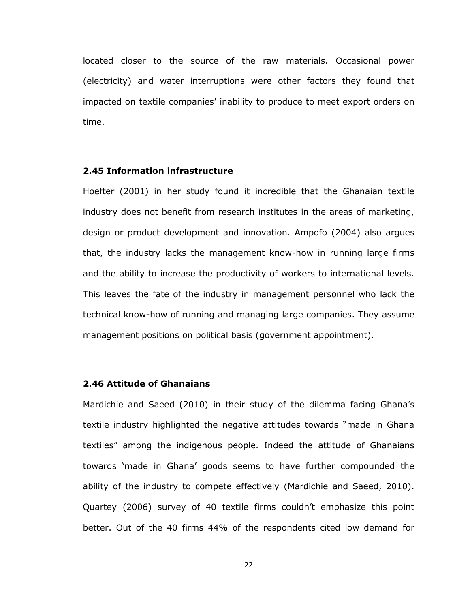located closer to the source of the raw materials. Occasional power (electricity) and water interruptions were other factors they found that impacted on textile companies" inability to produce to meet export orders on time.

# <span id="page-28-0"></span>**2.45 Information infrastructure**

Hoefter (2001) in her study found it incredible that the Ghanaian textile industry does not benefit from research institutes in the areas of marketing, design or product development and innovation. Ampofo (2004) also argues that, the industry lacks the management know-how in running large firms and the ability to increase the productivity of workers to international levels. This leaves the fate of the industry in management personnel who lack the technical know-how of running and managing large companies. They assume management positions on political basis (government appointment).

#### <span id="page-28-1"></span>**2.46 Attitude of Ghanaians**

Mardichie and Saeed (2010) in their study of the dilemma facing Ghana"s textile industry highlighted the negative attitudes towards "made in Ghana textiles" among the indigenous people. Indeed the attitude of Ghanaians towards "made in Ghana" goods seems to have further compounded the ability of the industry to compete effectively (Mardichie and Saeed, 2010). Quartey (2006) survey of 40 textile firms couldn"t emphasize this point better. Out of the 40 firms 44% of the respondents cited low demand for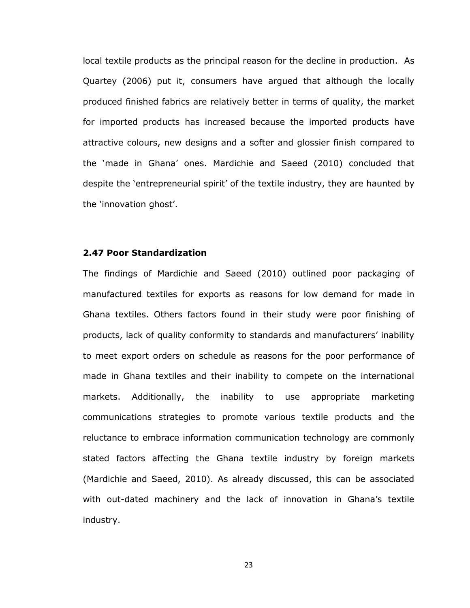local textile products as the principal reason for the decline in production. As Quartey (2006) put it, consumers have argued that although the locally produced finished fabrics are relatively better in terms of quality, the market for imported products has increased because the imported products have attractive colours, new designs and a softer and glossier finish compared to the "made in Ghana" ones. Mardichie and Saeed (2010) concluded that despite the "entrepreneurial spirit" of the textile industry, they are haunted by the 'innovation ghost'.

# <span id="page-29-0"></span>**2.47 Poor Standardization**

The findings of Mardichie and Saeed (2010) outlined poor packaging of manufactured textiles for exports as reasons for low demand for made in Ghana textiles. Others factors found in their study were poor finishing of products, lack of quality conformity to standards and manufacturers' inability to meet export orders on schedule as reasons for the poor performance of made in Ghana textiles and their inability to compete on the international markets. Additionally, the inability to use appropriate marketing communications strategies to promote various textile products and the reluctance to embrace information communication technology are commonly stated factors affecting the Ghana textile industry by foreign markets (Mardichie and Saeed, 2010). As already discussed, this can be associated with out-dated machinery and the lack of innovation in Ghana's textile industry.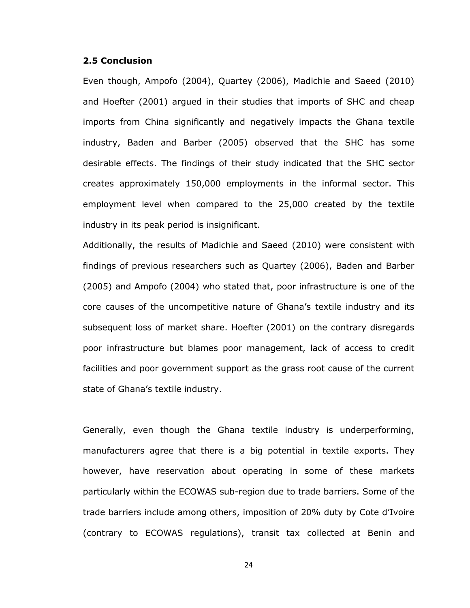#### <span id="page-30-0"></span>**2.5 Conclusion**

Even though, Ampofo (2004), Quartey (2006), Madichie and Saeed (2010) and Hoefter (2001) argued in their studies that imports of SHC and cheap imports from China significantly and negatively impacts the Ghana textile industry, Baden and Barber (2005) observed that the SHC has some desirable effects. The findings of their study indicated that the SHC sector creates approximately 150,000 employments in the informal sector. This employment level when compared to the 25,000 created by the textile industry in its peak period is insignificant.

Additionally, the results of Madichie and Saeed (2010) were consistent with findings of previous researchers such as Quartey (2006), Baden and Barber (2005) and Ampofo (2004) who stated that, poor infrastructure is one of the core causes of the uncompetitive nature of Ghana"s textile industry and its subsequent loss of market share. Hoefter (2001) on the contrary disregards poor infrastructure but blames poor management, lack of access to credit facilities and poor government support as the grass root cause of the current state of Ghana's textile industry.

Generally, even though the Ghana textile industry is underperforming, manufacturers agree that there is a big potential in textile exports. They however, have reservation about operating in some of these markets particularly within the ECOWAS sub-region due to trade barriers. Some of the trade barriers include among others, imposition of 20% duty by Cote d"Ivoire (contrary to ECOWAS regulations), transit tax collected at Benin and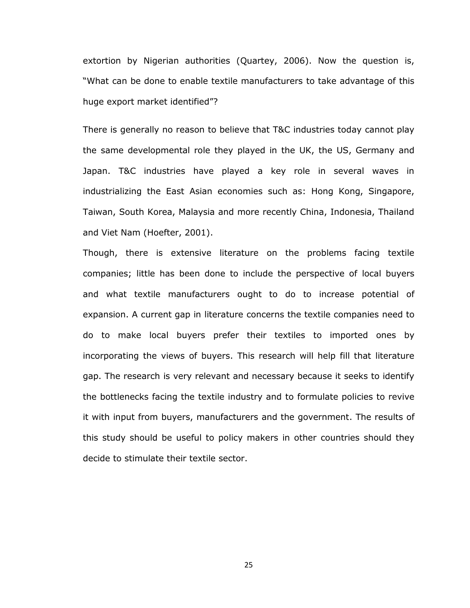extortion by Nigerian authorities (Quartey, 2006). Now the question is, "What can be done to enable textile manufacturers to take advantage of this huge export market identified"?

There is generally no reason to believe that T&C industries today cannot play the same developmental role they played in the UK, the US, Germany and Japan. T&C industries have played a key role in several waves in industrializing the East Asian economies such as: Hong Kong, Singapore, Taiwan, South Korea, Malaysia and more recently China, Indonesia, Thailand and Viet Nam (Hoefter, 2001).

Though, there is extensive literature on the problems facing textile companies; little has been done to include the perspective of local buyers and what textile manufacturers ought to do to increase potential of expansion. A current gap in literature concerns the textile companies need to do to make local buyers prefer their textiles to imported ones by incorporating the views of buyers. This research will help fill that literature gap. The research is very relevant and necessary because it seeks to identify the bottlenecks facing the textile industry and to formulate policies to revive it with input from buyers, manufacturers and the government. The results of this study should be useful to policy makers in other countries should they decide to stimulate their textile sector.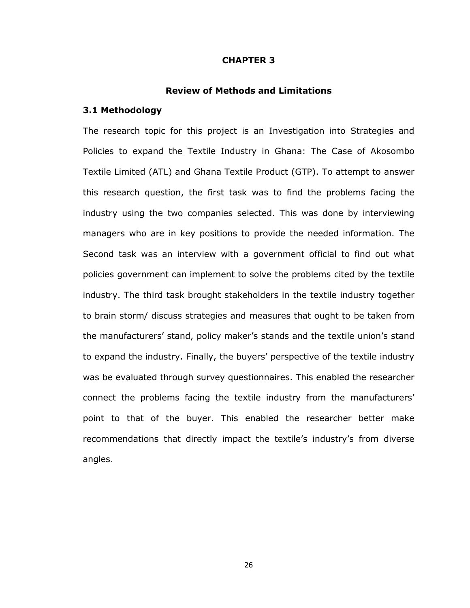#### **CHAPTER 3**

#### **Review of Methods and Limitations**

#### <span id="page-32-2"></span><span id="page-32-1"></span><span id="page-32-0"></span>**3.1 Methodology**

The research topic for this project is an Investigation into Strategies and Policies to expand the Textile Industry in Ghana: The Case of Akosombo Textile Limited (ATL) and Ghana Textile Product (GTP). To attempt to answer this research question, the first task was to find the problems facing the industry using the two companies selected. This was done by interviewing managers who are in key positions to provide the needed information. The Second task was an interview with a government official to find out what policies government can implement to solve the problems cited by the textile industry. The third task brought stakeholders in the textile industry together to brain storm/ discuss strategies and measures that ought to be taken from the manufacturers' stand, policy maker's stands and the textile union's stand to expand the industry. Finally, the buyers" perspective of the textile industry was be evaluated through survey questionnaires. This enabled the researcher connect the problems facing the textile industry from the manufacturers" point to that of the buyer. This enabled the researcher better make recommendations that directly impact the textile's industry's from diverse angles.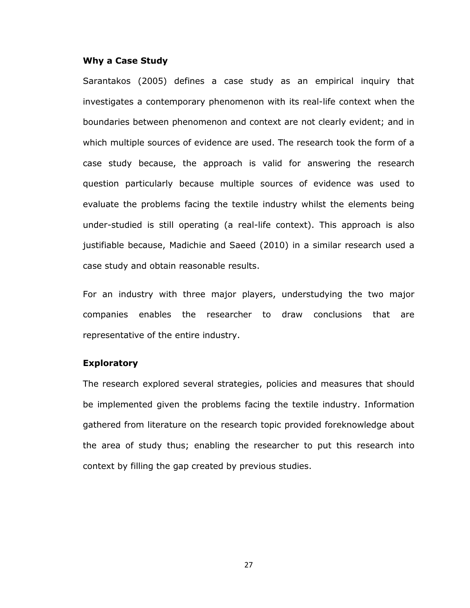#### **Why a Case Study**

Sarantakos (2005) defines a case study as an empirical inquiry that investigates a contemporary phenomenon with its real-life context when the boundaries between phenomenon and context are not clearly evident; and in which multiple sources of evidence are used. The research took the form of a case study because, the approach is valid for answering the research question particularly because multiple sources of evidence was used to evaluate the problems facing the textile industry whilst the elements being under-studied is still operating (a real-life context). This approach is also justifiable because, Madichie and Saeed (2010) in a similar research used a case study and obtain reasonable results.

For an industry with three major players, understudying the two major companies enables the researcher to draw conclusions that are representative of the entire industry.

#### **Exploratory**

The research explored several strategies, policies and measures that should be implemented given the problems facing the textile industry. Information gathered from literature on the research topic provided foreknowledge about the area of study thus; enabling the researcher to put this research into context by filling the gap created by previous studies.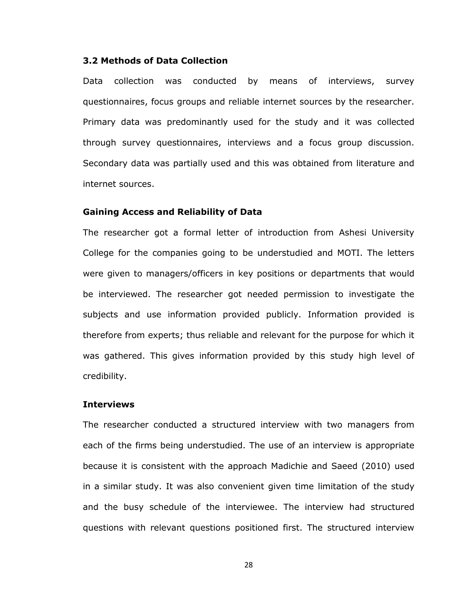# <span id="page-34-0"></span>**3.2 Methods of Data Collection**

Data collection was conducted by means of interviews, survey questionnaires, focus groups and reliable internet sources by the researcher. Primary data was predominantly used for the study and it was collected through survey questionnaires, interviews and a focus group discussion. Secondary data was partially used and this was obtained from literature and internet sources.

#### **Gaining Access and Reliability of Data**

The researcher got a formal letter of introduction from Ashesi University College for the companies going to be understudied and MOTI. The letters were given to managers/officers in key positions or departments that would be interviewed. The researcher got needed permission to investigate the subjects and use information provided publicly. Information provided is therefore from experts; thus reliable and relevant for the purpose for which it was gathered. This gives information provided by this study high level of credibility.

#### **Interviews**

The researcher conducted a structured interview with two managers from each of the firms being understudied. The use of an interview is appropriate because it is consistent with the approach Madichie and Saeed (2010) used in a similar study. It was also convenient given time limitation of the study and the busy schedule of the interviewee. The interview had structured questions with relevant questions positioned first. The structured interview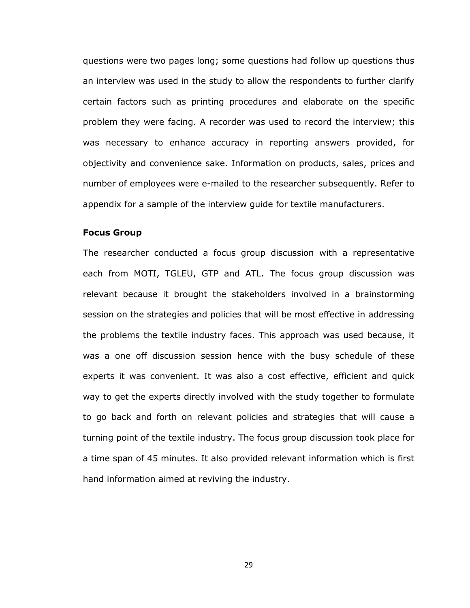questions were two pages long; some questions had follow up questions thus an interview was used in the study to allow the respondents to further clarify certain factors such as printing procedures and elaborate on the specific problem they were facing. A recorder was used to record the interview; this was necessary to enhance accuracy in reporting answers provided, for objectivity and convenience sake. Information on products, sales, prices and number of employees were e-mailed to the researcher subsequently. Refer to appendix for a sample of the interview guide for textile manufacturers.

#### **Focus Group**

The researcher conducted a focus group discussion with a representative each from MOTI, TGLEU, GTP and ATL. The focus group discussion was relevant because it brought the stakeholders involved in a brainstorming session on the strategies and policies that will be most effective in addressing the problems the textile industry faces. This approach was used because, it was a one off discussion session hence with the busy schedule of these experts it was convenient. It was also a cost effective, efficient and quick way to get the experts directly involved with the study together to formulate to go back and forth on relevant policies and strategies that will cause a turning point of the textile industry. The focus group discussion took place for a time span of 45 minutes. It also provided relevant information which is first hand information aimed at reviving the industry.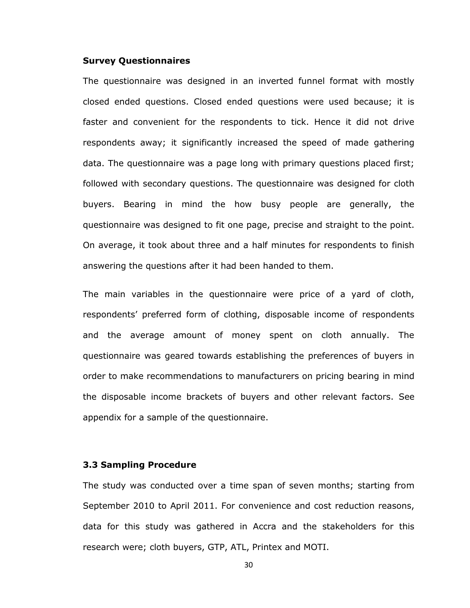#### **Survey Questionnaires**

The questionnaire was designed in an inverted funnel format with mostly closed ended questions. Closed ended questions were used because; it is faster and convenient for the respondents to tick. Hence it did not drive respondents away; it significantly increased the speed of made gathering data. The questionnaire was a page long with primary questions placed first; followed with secondary questions. The questionnaire was designed for cloth buyers. Bearing in mind the how busy people are generally, the questionnaire was designed to fit one page, precise and straight to the point. On average, it took about three and a half minutes for respondents to finish answering the questions after it had been handed to them.

The main variables in the questionnaire were price of a yard of cloth, respondents" preferred form of clothing, disposable income of respondents and the average amount of money spent on cloth annually. The questionnaire was geared towards establishing the preferences of buyers in order to make recommendations to manufacturers on pricing bearing in mind the disposable income brackets of buyers and other relevant factors. See appendix for a sample of the questionnaire.

#### <span id="page-36-0"></span>**3.3 Sampling Procedure**

The study was conducted over a time span of seven months; starting from September 2010 to April 2011. For convenience and cost reduction reasons, data for this study was gathered in Accra and the stakeholders for this research were; cloth buyers, GTP, ATL, Printex and MOTI.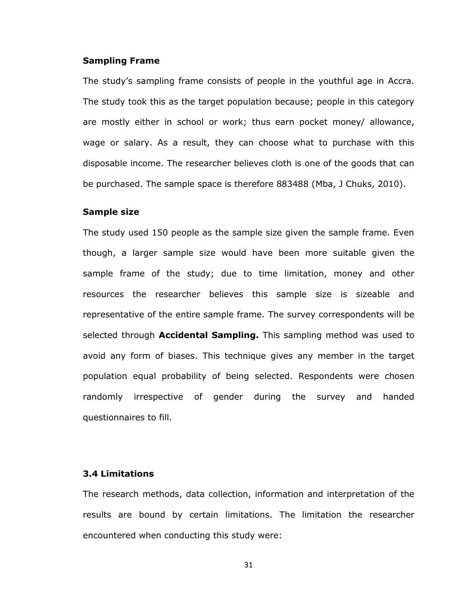#### **Sampling Frame**

The study"s sampling frame consists of people in the youthful age in Accra. The study took this as the target population because; people in this category are mostly either in school or work; thus earn pocket money/ allowance, wage or salary. As a result, they can choose what to purchase with this disposable income. The researcher believes cloth is one of the goods that can be purchased. The sample space is therefore 883488 (Mba, J Chuks, 2010).

#### **Sample size**

The study used 150 people as the sample size given the sample frame. Even though, a larger sample size would have been more suitable given the sample frame of the study; due to time limitation, money and other resources the researcher believes this sample size is sizeable and representative of the entire sample frame. The survey correspondents will be selected through **Accidental Sampling.** This sampling method was used to avoid any form of biases. This technique gives any member in the target population equal probability of being selected. Respondents were chosen randomly irrespective of gender during the survey and handed questionnaires to fill.

# <span id="page-37-0"></span>**3.4 Limitations**

The research methods, data collection, information and interpretation of the results are bound by certain limitations. The limitation the researcher encountered when conducting this study were: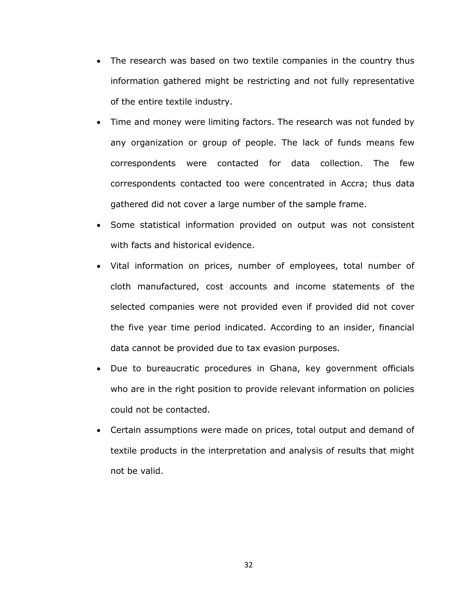- The research was based on two textile companies in the country thus information gathered might be restricting and not fully representative of the entire textile industry.
- Time and money were limiting factors. The research was not funded by any organization or group of people. The lack of funds means few correspondents were contacted for data collection. The few correspondents contacted too were concentrated in Accra; thus data gathered did not cover a large number of the sample frame.
- Some statistical information provided on output was not consistent with facts and historical evidence.
- Vital information on prices, number of employees, total number of cloth manufactured, cost accounts and income statements of the selected companies were not provided even if provided did not cover the five year time period indicated. According to an insider, financial data cannot be provided due to tax evasion purposes.
- Due to bureaucratic procedures in Ghana, key government officials who are in the right position to provide relevant information on policies could not be contacted.
- Certain assumptions were made on prices, total output and demand of textile products in the interpretation and analysis of results that might not be valid.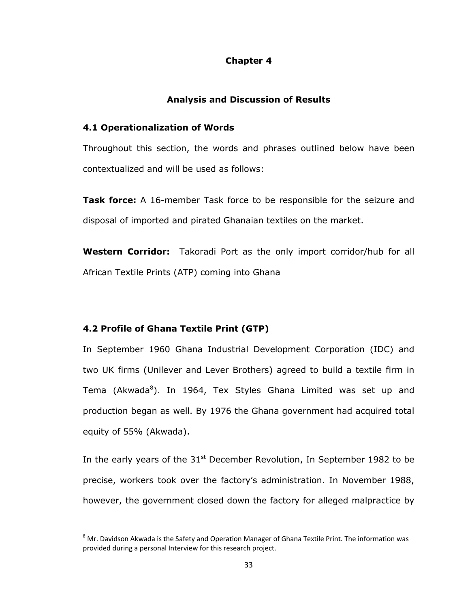# **Chapter 4**

#### **Analysis and Discussion of Results**

#### <span id="page-39-2"></span><span id="page-39-1"></span><span id="page-39-0"></span>**4.1 Operationalization of Words**

Throughout this section, the words and phrases outlined below have been contextualized and will be used as follows:

**Task force:** A 16-member Task force to be responsible for the seizure and disposal of imported and pirated Ghanaian textiles on the market.

**Western Corridor:** Takoradi Port as the only import corridor/hub for all African Textile Prints (ATP) coming into Ghana

#### <span id="page-39-3"></span>**4.2 Profile of Ghana Textile Print (GTP)**

l

In September 1960 Ghana Industrial Development Corporation (IDC) and two UK firms (Unilever and Lever Brothers) agreed to build a textile firm in Tema (Akwada<sup>8</sup>). In 1964, Tex Styles Ghana Limited was set up and production began as well. By 1976 the Ghana government had acquired total equity of 55% (Akwada).

In the early years of the  $31<sup>st</sup>$  December Revolution, In September 1982 to be precise, workers took over the factory"s administration. In November 1988, however, the government closed down the factory for alleged malpractice by

 $8$  Mr. Davidson Akwada is the Safety and Operation Manager of Ghana Textile Print. The information was provided during a personal Interview for this research project.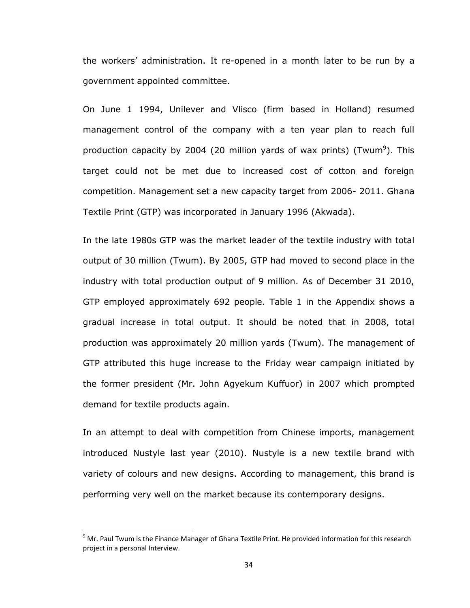the workers" administration. It re-opened in a month later to be run by a government appointed committee.

On June 1 1994, Unilever and Vlisco (firm based in Holland) resumed management control of the company with a ten year plan to reach full production capacity by 2004 (20 million yards of wax prints) (Twum<sup>9</sup>). This target could not be met due to increased cost of cotton and foreign competition. Management set a new capacity target from 2006- 2011. Ghana Textile Print (GTP) was incorporated in January 1996 (Akwada).

In the late 1980s GTP was the market leader of the textile industry with total output of 30 million (Twum). By 2005, GTP had moved to second place in the industry with total production output of 9 million. As of December 31 2010, GTP employed approximately 692 people. Table 1 in the Appendix shows a gradual increase in total output. It should be noted that in 2008, total production was approximately 20 million yards (Twum). The management of GTP attributed this huge increase to the Friday wear campaign initiated by the former president (Mr. John Agyekum Kuffuor) in 2007 which prompted demand for textile products again.

In an attempt to deal with competition from Chinese imports, management introduced Nustyle last year (2010). Nustyle is a new textile brand with variety of colours and new designs. According to management, this brand is performing very well on the market because its contemporary designs.

l

 $9$  Mr. Paul Twum is the Finance Manager of Ghana Textile Print. He provided information for this research project in a personal Interview.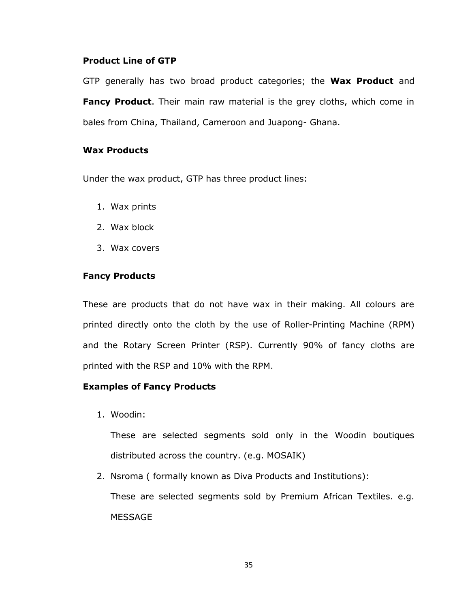# **Product Line of GTP**

GTP generally has two broad product categories; the **Wax Product** and **Fancy Product**. Their main raw material is the grey cloths, which come in bales from China, Thailand, Cameroon and Juapong- Ghana.

# **Wax Products**

Under the wax product, GTP has three product lines:

- 1. Wax prints
- 2. Wax block
- 3. Wax covers

# **Fancy Products**

These are products that do not have wax in their making. All colours are printed directly onto the cloth by the use of Roller-Printing Machine (RPM) and the Rotary Screen Printer (RSP). Currently 90% of fancy cloths are printed with the RSP and 10% with the RPM.

# **Examples of Fancy Products**

1. Woodin:

These are selected segments sold only in the Woodin boutiques distributed across the country. (e.g. MOSAIK)

2. Nsroma ( formally known as Diva Products and Institutions): These are selected segments sold by Premium African Textiles. e.g. MESSAGE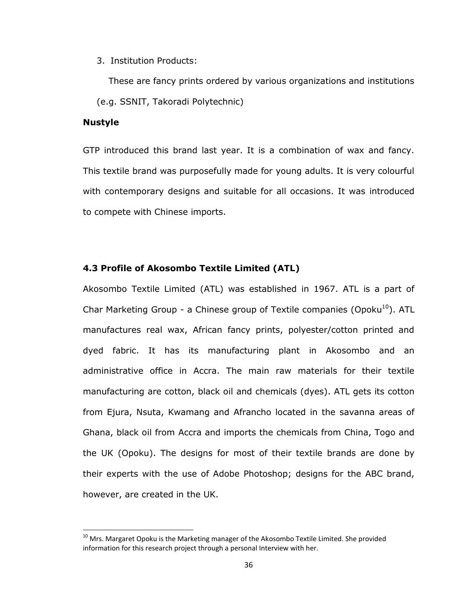3. Institution Products:

 These are fancy prints ordered by various organizations and institutions (e.g. SSNIT, Takoradi Polytechnic)

# **Nustyle**

l

GTP introduced this brand last year. It is a combination of wax and fancy. This textile brand was purposefully made for young adults. It is very colourful with contemporary designs and suitable for all occasions. It was introduced to compete with Chinese imports.

#### <span id="page-42-0"></span>**4.3 Profile of Akosombo Textile Limited (ATL)**

Akosombo Textile Limited (ATL) was established in 1967. ATL is a part of Char Marketing Group - a Chinese group of Textile companies (Opoku<sup>10</sup>). ATL manufactures real wax, African fancy prints, polyester/cotton printed and dyed fabric. It has its manufacturing plant in Akosombo and an administrative office in Accra. The main raw materials for their textile manufacturing are cotton, black oil and chemicals (dyes). ATL gets its cotton from Ejura, Nsuta, Kwamang and Afrancho located in the savanna areas of Ghana, black oil from Accra and imports the chemicals from China, Togo and the UK (Opoku). The designs for most of their textile brands are done by their experts with the use of Adobe Photoshop; designs for the ABC brand, however, are created in the UK.

 $10$  Mrs. Margaret Opoku is the Marketing manager of the Akosombo Textile Limited. She provided information for this research project through a personal Interview with her.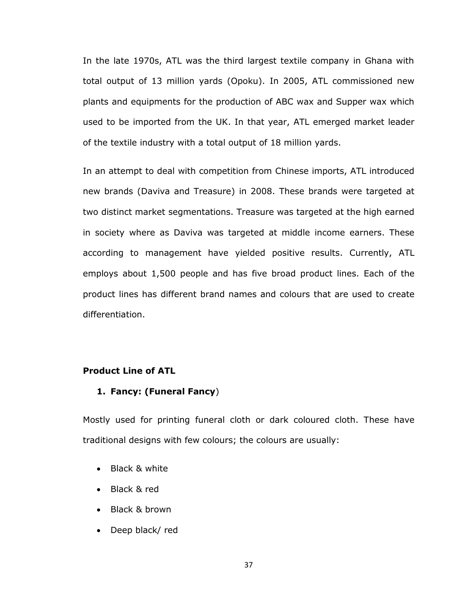In the late 1970s, ATL was the third largest textile company in Ghana with total output of 13 million yards (Opoku). In 2005, ATL commissioned new plants and equipments for the production of ABC wax and Supper wax which used to be imported from the UK. In that year, ATL emerged market leader of the textile industry with a total output of 18 million yards.

In an attempt to deal with competition from Chinese imports, ATL introduced new brands (Daviva and Treasure) in 2008. These brands were targeted at two distinct market segmentations. Treasure was targeted at the high earned in society where as Daviva was targeted at middle income earners. These according to management have yielded positive results. Currently, ATL employs about 1,500 people and has five broad product lines. Each of the product lines has different brand names and colours that are used to create differentiation.

# **Product Line of ATL**

### **1. Fancy: (Funeral Fancy**)

Mostly used for printing funeral cloth or dark coloured cloth. These have traditional designs with few colours; the colours are usually:

- Black & white
- Black & red
- Black & brown
- Deep black/red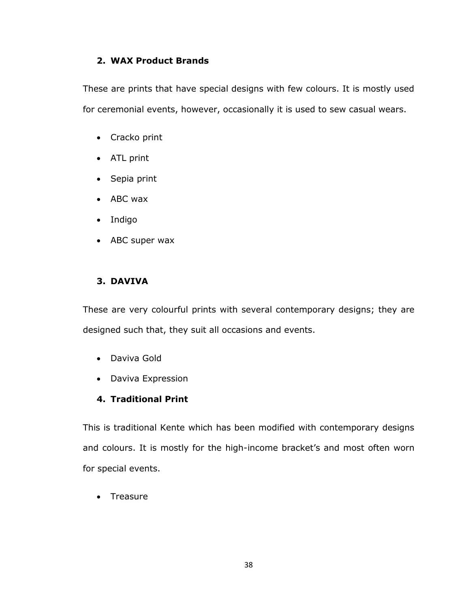# **2. WAX Product Brands**

These are prints that have special designs with few colours. It is mostly used for ceremonial events, however, occasionally it is used to sew casual wears.

- Cracko print
- ATL print
- Sepia print
- ABC wax
- Indigo
- ABC super wax

# **3. DAVIVA**

These are very colourful prints with several contemporary designs; they are designed such that, they suit all occasions and events.

- Daviva Gold
- Daviva Expression

# **4. Traditional Print**

This is traditional Kente which has been modified with contemporary designs and colours. It is mostly for the high-income bracket's and most often worn for special events.

• Treasure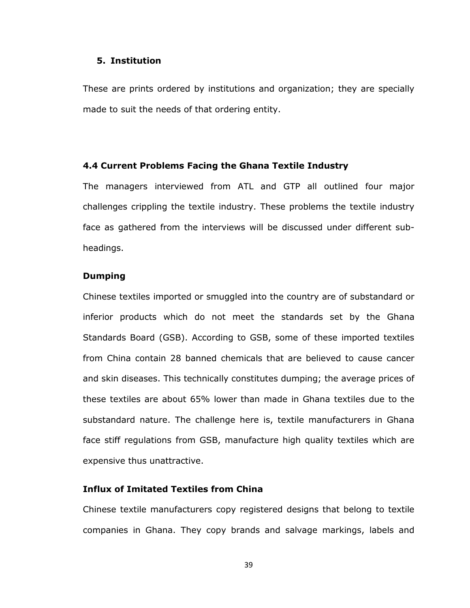#### **5. Institution**

These are prints ordered by institutions and organization; they are specially made to suit the needs of that ordering entity.

#### <span id="page-45-0"></span>**4.4 Current Problems Facing the Ghana Textile Industry**

The managers interviewed from ATL and GTP all outlined four major challenges crippling the textile industry. These problems the textile industry face as gathered from the interviews will be discussed under different subheadings.

# **Dumping**

Chinese textiles imported or smuggled into the country are of substandard or inferior products which do not meet the standards set by the Ghana Standards Board (GSB). According to GSB, some of these imported textiles from China contain 28 banned chemicals that are believed to cause cancer and skin diseases. This technically constitutes dumping; the average prices of these textiles are about 65% lower than made in Ghana textiles due to the substandard nature. The challenge here is, textile manufacturers in Ghana face stiff regulations from GSB, manufacture high quality textiles which are expensive thus unattractive.

# **Influx of Imitated Textiles from China**

Chinese textile manufacturers copy registered designs that belong to textile companies in Ghana. They copy brands and salvage markings, labels and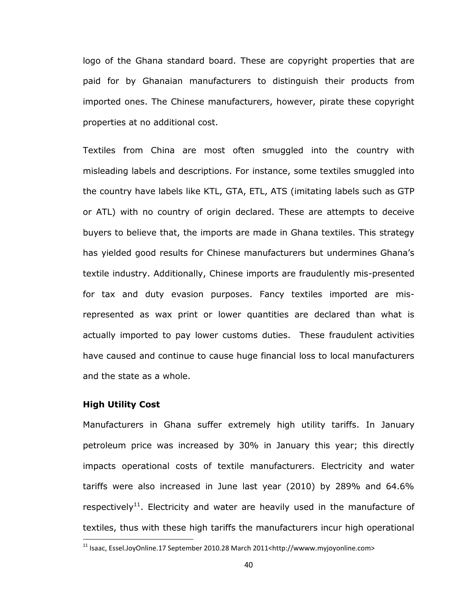logo of the Ghana standard board. These are copyright properties that are paid for by Ghanaian manufacturers to distinguish their products from imported ones. The Chinese manufacturers, however, pirate these copyright properties at no additional cost.

Textiles from China are most often smuggled into the country with misleading labels and descriptions. For instance, some textiles smuggled into the country have labels like KTL, GTA, ETL, ATS (imitating labels such as GTP or ATL) with no country of origin declared. These are attempts to deceive buyers to believe that, the imports are made in Ghana textiles. This strategy has yielded good results for Chinese manufacturers but undermines Ghana"s textile industry. Additionally, Chinese imports are fraudulently mis-presented for tax and duty evasion purposes. Fancy textiles imported are misrepresented as wax print or lower quantities are declared than what is actually imported to pay lower customs duties. These fraudulent activities have caused and continue to cause huge financial loss to local manufacturers and the state as a whole.

# **High Utility Cost**

 $\overline{\phantom{a}}$ 

Manufacturers in Ghana suffer extremely high utility tariffs. In January petroleum price was increased by 30% in January this year; this directly impacts operational costs of textile manufacturers. Electricity and water tariffs were also increased in June last year (2010) by 289% and 64.6% respectively<sup>11</sup>. Electricity and water are heavily used in the manufacture of textiles, thus with these high tariffs the manufacturers incur high operational

 $11$  Isaac, Essel.JoyOnline.17 September 2010.28 March 2011<http://wwww.myjoyonline.com>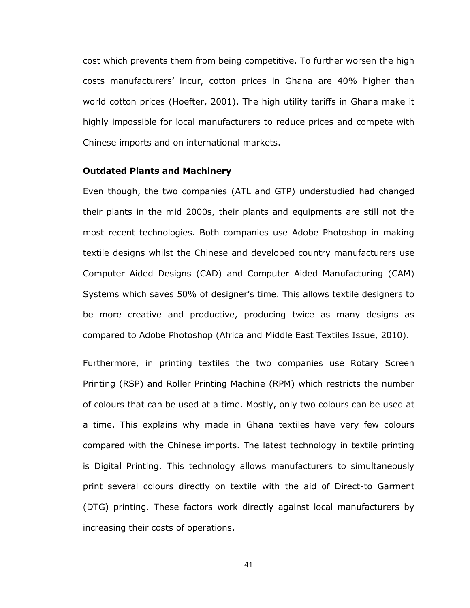cost which prevents them from being competitive. To further worsen the high costs manufacturers" incur, cotton prices in Ghana are 40% higher than world cotton prices (Hoefter, 2001). The high utility tariffs in Ghana make it highly impossible for local manufacturers to reduce prices and compete with Chinese imports and on international markets.

#### **Outdated Plants and Machinery**

Even though, the two companies (ATL and GTP) understudied had changed their plants in the mid 2000s, their plants and equipments are still not the most recent technologies. Both companies use Adobe Photoshop in making textile designs whilst the Chinese and developed country manufacturers use Computer Aided Designs (CAD) and Computer Aided Manufacturing (CAM) Systems which saves 50% of designer"s time. This allows textile designers to be more creative and productive, producing twice as many designs as compared to Adobe Photoshop (Africa and Middle East Textiles Issue, 2010).

Furthermore, in printing textiles the two companies use Rotary Screen Printing (RSP) and Roller Printing Machine (RPM) which restricts the number of colours that can be used at a time. Mostly, only two colours can be used at a time. This explains why made in Ghana textiles have very few colours compared with the Chinese imports. The latest technology in textile printing is Digital Printing. This technology allows manufacturers to simultaneously print several colours directly on textile with the aid of Direct-to Garment (DTG) printing. These factors work directly against local manufacturers by increasing their costs of operations.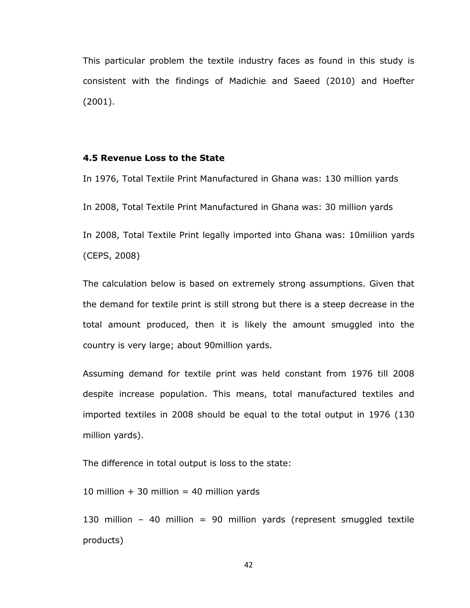This particular problem the textile industry faces as found in this study is consistent with the findings of Madichie and Saeed (2010) and Hoefter (2001).

#### <span id="page-48-0"></span>**4.5 Revenue Loss to the State**

In 1976, Total Textile Print Manufactured in Ghana was: 130 million yards In 2008, Total Textile Print Manufactured in Ghana was: 30 million yards In 2008, Total Textile Print legally imported into Ghana was: 10miilion yards (CEPS, 2008)

The calculation below is based on extremely strong assumptions. Given that the demand for textile print is still strong but there is a steep decrease in the total amount produced, then it is likely the amount smuggled into the country is very large; about 90million yards.

Assuming demand for textile print was held constant from 1976 till 2008 despite increase population. This means, total manufactured textiles and imported textiles in 2008 should be equal to the total output in 1976 (130 million yards).

The difference in total output is loss to the state:

10 million  $+$  30 million = 40 million yards

130 million - 40 million = 90 million yards (represent smuggled textile products)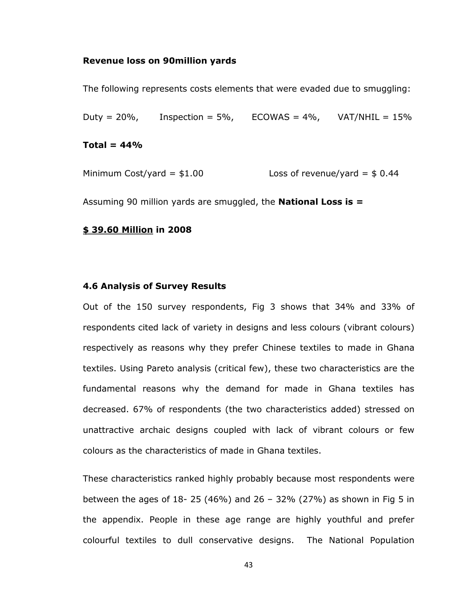#### **Revenue loss on 90million yards**

The following represents costs elements that were evaded due to smuggling:

Duty = 20%, Inspection = 5%, ECOWAS = 4%, VAT/NHIL =  $15\%$ 

#### **Total = 44%**

Minimum Cost/yard =  $$1.00$  Loss of revenue/yard =  $$0.44$ 

Assuming 90 million yards are smuggled, the **National Loss is =** 

#### **\$ 39.60 Million in 2008**

#### <span id="page-49-0"></span>**4.6 Analysis of Survey Results**

Out of the 150 survey respondents, Fig 3 shows that 34% and 33% of respondents cited lack of variety in designs and less colours (vibrant colours) respectively as reasons why they prefer Chinese textiles to made in Ghana textiles. Using Pareto analysis (critical few), these two characteristics are the fundamental reasons why the demand for made in Ghana textiles has decreased. 67% of respondents (the two characteristics added) stressed on unattractive archaic designs coupled with lack of vibrant colours or few colours as the characteristics of made in Ghana textiles.

These characteristics ranked highly probably because most respondents were between the ages of 18- 25 (46%) and 26 - 32% (27%) as shown in Fig 5 in the appendix. People in these age range are highly youthful and prefer colourful textiles to dull conservative designs. The National Population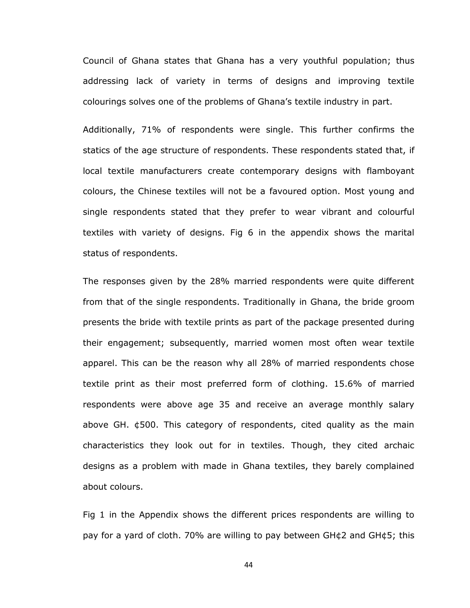Council of Ghana states that Ghana has a very youthful population; thus addressing lack of variety in terms of designs and improving textile colourings solves one of the problems of Ghana"s textile industry in part.

Additionally, 71% of respondents were single. This further confirms the statics of the age structure of respondents. These respondents stated that, if local textile manufacturers create contemporary designs with flamboyant colours, the Chinese textiles will not be a favoured option. Most young and single respondents stated that they prefer to wear vibrant and colourful textiles with variety of designs. Fig 6 in the appendix shows the marital status of respondents.

The responses given by the 28% married respondents were quite different from that of the single respondents. Traditionally in Ghana, the bride groom presents the bride with textile prints as part of the package presented during their engagement; subsequently, married women most often wear textile apparel. This can be the reason why all 28% of married respondents chose textile print as their most preferred form of clothing. 15.6% of married respondents were above age 35 and receive an average monthly salary above GH.  $\phi$ 500. This category of respondents, cited quality as the main characteristics they look out for in textiles. Though, they cited archaic designs as a problem with made in Ghana textiles, they barely complained about colours.

Fig 1 in the Appendix shows the different prices respondents are willing to pay for a yard of cloth. 70% are willing to pay between GH¢2 and GH¢5; this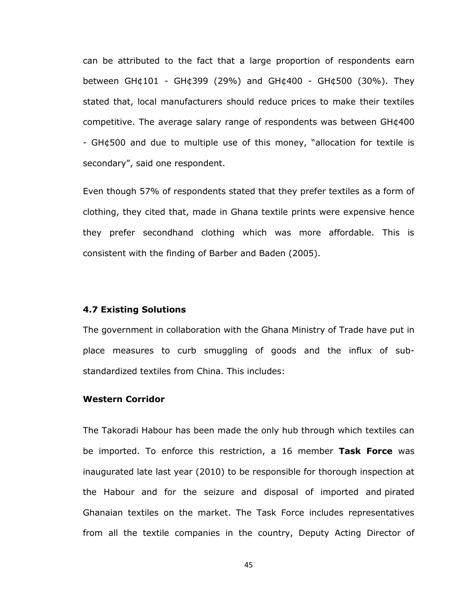can be attributed to the fact that a large proportion of respondents earn between GH¢101 - GH¢399 (29%) and GH¢400 - GH¢500 (30%). They stated that, local manufacturers should reduce prices to make their textiles competitive. The average salary range of respondents was between GH¢400 - GH¢500 and due to multiple use of this money, "allocation for textile is secondary", said one respondent.

Even though 57% of respondents stated that they prefer textiles as a form of clothing, they cited that, made in Ghana textile prints were expensive hence they prefer secondhand clothing which was more affordable. This is consistent with the finding of Barber and Baden (2005).

#### <span id="page-51-0"></span>**4.7 Existing Solutions**

The government in collaboration with the Ghana Ministry of Trade have put in place measures to curb smuggling of goods and the influx of substandardized textiles from China. This includes:

#### **Western Corridor**

The Takoradi Habour has been made the only hub through which textiles can be imported. To enforce this restriction, a 16 member **Task Force** was inaugurated late last year (2010) to be responsible for thorough inspection at the Habour and for the seizure and disposal of imported and pirated Ghanaian textiles on the market. The Task Force includes representatives from all the textile companies in the country, Deputy Acting Director of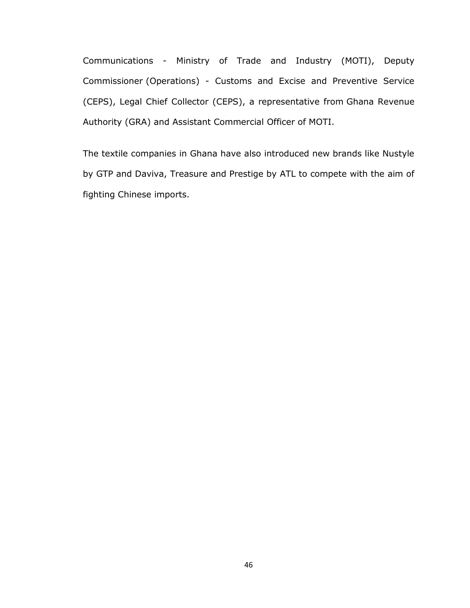Communications - Ministry of Trade and Industry (MOTI), Deputy Commissioner (Operations) - Customs and Excise and Preventive Service (CEPS), Legal Chief Collector (CEPS), a representative from Ghana Revenue Authority (GRA) and Assistant Commercial Officer of MOTI.

The textile companies in Ghana have also introduced new brands like Nustyle by GTP and Daviva, Treasure and Prestige by ATL to compete with the aim of fighting Chinese imports.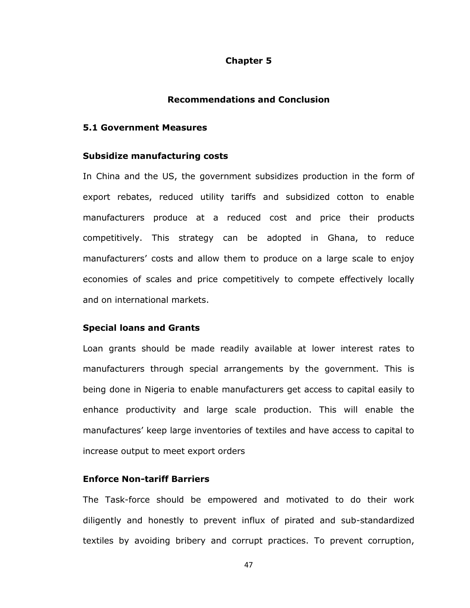#### **Chapter 5**

### **Recommendations and Conclusion**

#### <span id="page-53-2"></span><span id="page-53-1"></span><span id="page-53-0"></span>**5.1 Government Measures**

#### **Subsidize manufacturing costs**

In China and the US, the government subsidizes production in the form of export rebates, reduced utility tariffs and subsidized cotton to enable manufacturers produce at a reduced cost and price their products competitively. This strategy can be adopted in Ghana, to reduce manufacturers' costs and allow them to produce on a large scale to enjoy economies of scales and price competitively to compete effectively locally and on international markets.

#### **Special loans and Grants**

Loan grants should be made readily available at lower interest rates to manufacturers through special arrangements by the government. This is being done in Nigeria to enable manufacturers get access to capital easily to enhance productivity and large scale production. This will enable the manufactures' keep large inventories of textiles and have access to capital to increase output to meet export orders

# **Enforce Non-tariff Barriers**

The Task-force should be empowered and motivated to do their work diligently and honestly to prevent influx of pirated and sub-standardized textiles by avoiding bribery and corrupt practices. To prevent corruption,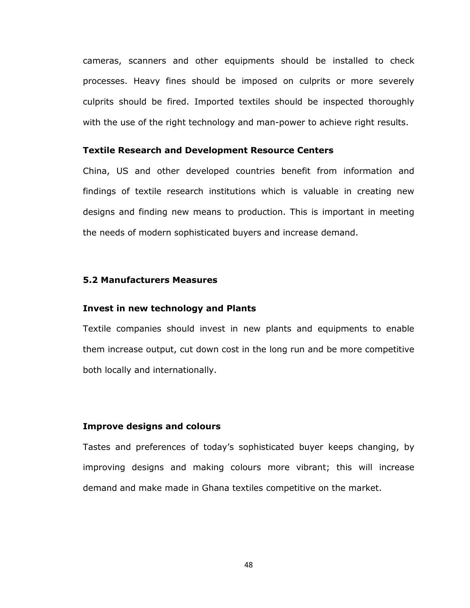cameras, scanners and other equipments should be installed to check processes. Heavy fines should be imposed on culprits or more severely culprits should be fired. Imported textiles should be inspected thoroughly with the use of the right technology and man-power to achieve right results.

#### **Textile Research and Development Resource Centers**

China, US and other developed countries benefit from information and findings of textile research institutions which is valuable in creating new designs and finding new means to production. This is important in meeting the needs of modern sophisticated buyers and increase demand.

# <span id="page-54-0"></span>**5.2 Manufacturers Measures**

#### **Invest in new technology and Plants**

Textile companies should invest in new plants and equipments to enable them increase output, cut down cost in the long run and be more competitive both locally and internationally.

# **Improve designs and colours**

Tastes and preferences of today"s sophisticated buyer keeps changing, by improving designs and making colours more vibrant; this will increase demand and make made in Ghana textiles competitive on the market.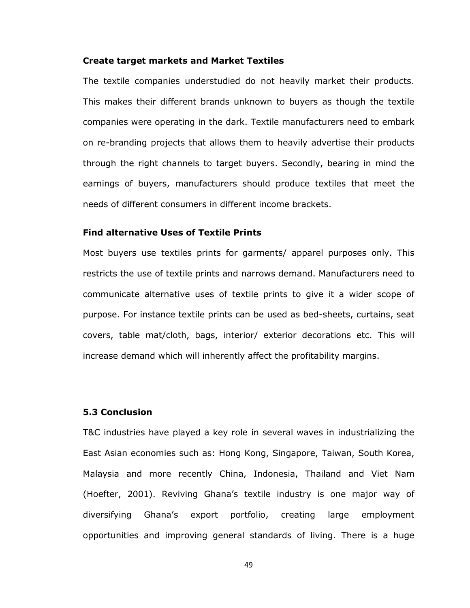#### **Create target markets and Market Textiles**

The textile companies understudied do not heavily market their products. This makes their different brands unknown to buyers as though the textile companies were operating in the dark. Textile manufacturers need to embark on re-branding projects that allows them to heavily advertise their products through the right channels to target buyers. Secondly, bearing in mind the earnings of buyers, manufacturers should produce textiles that meet the needs of different consumers in different income brackets.

## **Find alternative Uses of Textile Prints**

Most buyers use textiles prints for garments/ apparel purposes only. This restricts the use of textile prints and narrows demand. Manufacturers need to communicate alternative uses of textile prints to give it a wider scope of purpose. For instance textile prints can be used as bed-sheets, curtains, seat covers, table mat/cloth, bags, interior/ exterior decorations etc. This will increase demand which will inherently affect the profitability margins.

#### <span id="page-55-0"></span>**5.3 Conclusion**

T&C industries have played a key role in several waves in industrializing the East Asian economies such as: Hong Kong, Singapore, Taiwan, South Korea, Malaysia and more recently China, Indonesia, Thailand and Viet Nam (Hoefter, 2001). Reviving Ghana"s textile industry is one major way of diversifying Ghana"s export portfolio, creating large employment opportunities and improving general standards of living. There is a huge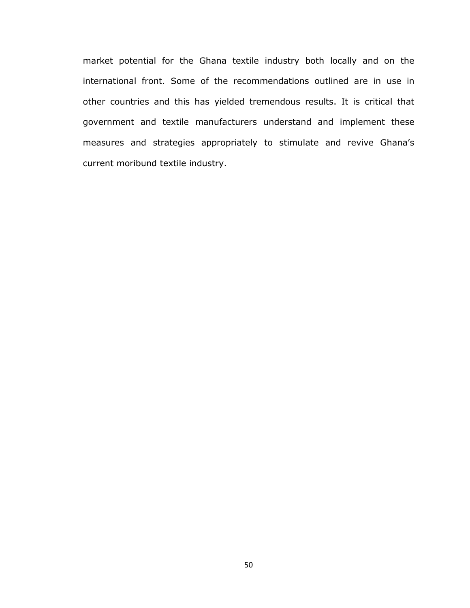market potential for the Ghana textile industry both locally and on the international front. Some of the recommendations outlined are in use in other countries and this has yielded tremendous results. It is critical that government and textile manufacturers understand and implement these measures and strategies appropriately to stimulate and revive Ghana"s current moribund textile industry.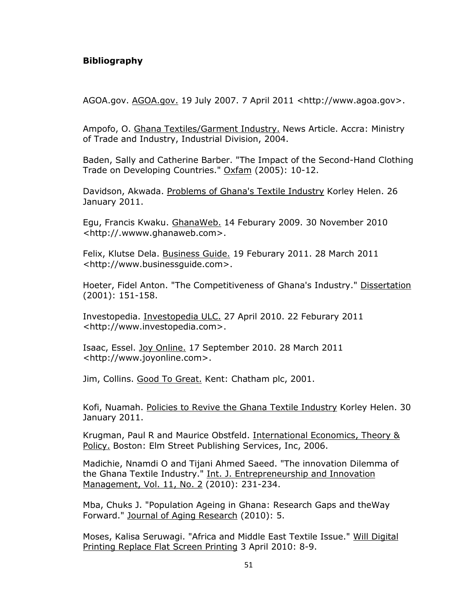# <span id="page-57-0"></span>**Bibliography**

AGOA.gov. AGOA.gov. 19 July 2007. 7 April 2011 <http://www.agoa.gov>.

Ampofo, O. Ghana Textiles/Garment Industry. News Article. Accra: Ministry of Trade and Industry, Industrial Division, 2004.

Baden, Sally and Catherine Barber. "The Impact of the Second-Hand Clothing Trade on Developing Countries." Oxfam (2005): 10-12.

Davidson, Akwada. Problems of Ghana's Textile Industry Korley Helen. 26 January 2011.

Egu, Francis Kwaku. GhanaWeb. 14 Feburary 2009. 30 November 2010 <http://.wwww.ghanaweb.com>.

Felix, Klutse Dela. Business Guide. 19 Feburary 2011. 28 March 2011 <http://www.businessguide.com>.

Hoeter, Fidel Anton. "The Competitiveness of Ghana's Industry." Dissertation (2001): 151-158.

Investopedia. Investopedia ULC. 27 April 2010. 22 Feburary 2011 <http://www.investopedia.com>.

Isaac, Essel. Joy Online. 17 September 2010. 28 March 2011 <http://www.joyonline.com>.

Jim, Collins. Good To Great. Kent: Chatham plc, 2001.

Kofi, Nuamah. Policies to Revive the Ghana Textile Industry Korley Helen. 30 January 2011.

Krugman, Paul R and Maurice Obstfeld. International Economics, Theory & Policy. Boston: Elm Street Publishing Services, Inc, 2006.

Madichie, Nnamdi O and Tijani Ahmed Saeed. "The innovation Dilemma of the Ghana Textile Industry." Int. J. Entrepreneurship and Innovation Management, Vol. 11, No. 2 (2010): 231-234.

Mba, Chuks J. "Population Ageing in Ghana: Research Gaps and theWay Forward." Journal of Aging Research (2010): 5.

Moses, Kalisa Seruwagi. "Africa and Middle East Textile Issue." Will Digital Printing Replace Flat Screen Printing 3 April 2010: 8-9.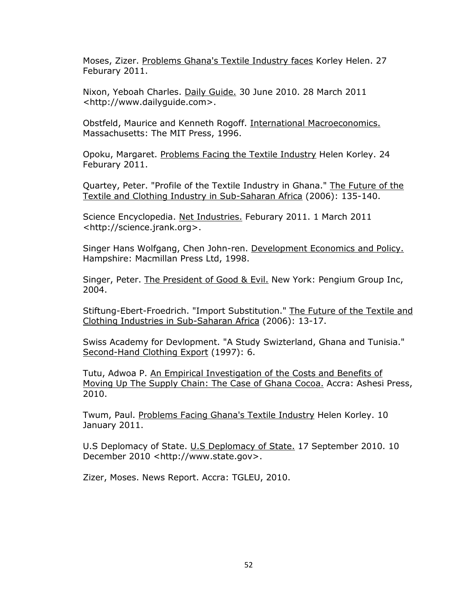Moses, Zizer. Problems Ghana's Textile Industry faces Korley Helen. 27 Feburary 2011.

Nixon, Yeboah Charles. Daily Guide. 30 June 2010. 28 March 2011 <http://www.dailyguide.com>.

Obstfeld, Maurice and Kenneth Rogoff. International Macroeconomics. Massachusetts: The MIT Press, 1996.

Opoku, Margaret. Problems Facing the Textile Industry Helen Korley. 24 Feburary 2011.

Quartey, Peter. "Profile of the Textile Industry in Ghana." The Future of the Textile and Clothing Industry in Sub-Saharan Africa (2006): 135-140.

Science Encyclopedia. Net Industries. Feburary 2011. 1 March 2011 <http://science.jrank.org>.

Singer Hans Wolfgang, Chen John-ren. Development Economics and Policy. Hampshire: Macmillan Press Ltd, 1998.

Singer, Peter. The President of Good & Evil. New York: Pengium Group Inc, 2004.

Stiftung-Ebert-Froedrich. "Import Substitution." The Future of the Textile and Clothing Industries in Sub-Saharan Africa (2006): 13-17.

Swiss Academy for Devlopment. "A Study Swizterland, Ghana and Tunisia." Second-Hand Clothing Export (1997): 6.

Tutu, Adwoa P. An Empirical Investigation of the Costs and Benefits of Moving Up The Supply Chain: The Case of Ghana Cocoa. Accra: Ashesi Press, 2010.

Twum, Paul. Problems Facing Ghana's Textile Industry Helen Korley. 10 January 2011.

U.S Deplomacy of State. U.S Deplomacy of State. 17 September 2010. 10 December 2010 <http://www.state.gov>.

Zizer, Moses. News Report. Accra: TGLEU, 2010.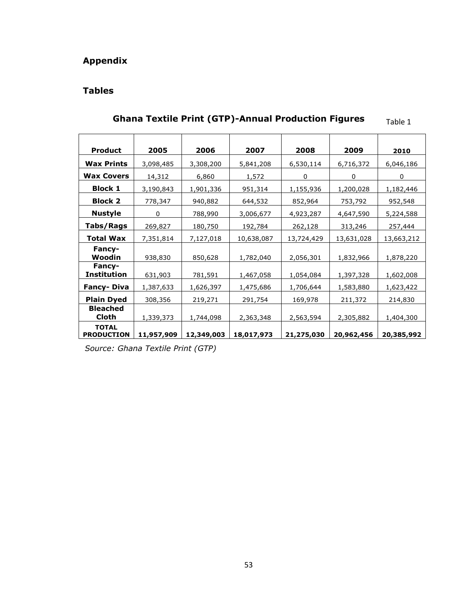# <span id="page-59-1"></span><span id="page-59-0"></span>**Appendix**

# **Tables**

| <b>Product</b>                    | 2005       | 2006       | 2007       | 2008       | 2009       | 2010       |
|-----------------------------------|------------|------------|------------|------------|------------|------------|
| <b>Wax Prints</b>                 | 3,098,485  | 3,308,200  | 5,841,208  | 6,530,114  | 6,716,372  | 6,046,186  |
| <b>Wax Covers</b>                 | 14,312     | 6,860      | 1,572      | 0          | 0          | 0          |
| <b>Block 1</b>                    | 3,190,843  | 1,901,336  | 951,314    | 1,155,936  | 1,200,028  | 1,182,446  |
| <b>Block 2</b>                    | 778,347    | 940,882    | 644,532    | 852,964    | 753,792    | 952,548    |
| <b>Nustyle</b>                    | 0          | 788,990    | 3,006,677  | 4,923,287  | 4,647,590  | 5,224,588  |
| Tabs/Rags                         | 269,827    | 180,750    | 192,784    | 262,128    | 313,246    | 257,444    |
| Total Wax                         | 7,351,814  | 7,127,018  | 10,638,087 | 13,724,429 | 13,631,028 | 13,663,212 |
| <b>Fancy-</b>                     |            |            |            |            |            |            |
| Woodin                            | 938,830    | 850,628    | 1,782,040  | 2,056,301  | 1,832,966  | 1,878,220  |
| Fancy-<br><b>Institution</b>      | 631,903    | 781,591    | 1,467,058  | 1,054,084  | 1,397,328  | 1,602,008  |
| <b>Fancy-Diva</b>                 | 1,387,633  | 1,626,397  | 1,475,686  | 1,706,644  | 1,583,880  | 1,623,422  |
| <b>Plain Dyed</b>                 | 308,356    | 219,271    | 291,754    | 169,978    | 211,372    | 214,830    |
| <b>Bleached</b>                   |            |            |            |            |            |            |
| Cloth                             | 1,339,373  | 1,744,098  | 2,363,348  | 2,563,594  | 2,305,882  | 1,404,300  |
| <b>TOTAL</b><br><b>PRODUCTION</b> | 11,957,909 | 12,349,003 | 18,017,973 | 21,275,030 | 20,962,456 | 20,385,992 |

#### **Ghana Textile Print (GTP)-Annual Production Figures** Table 1

*Source: Ghana Textile Print (GTP)*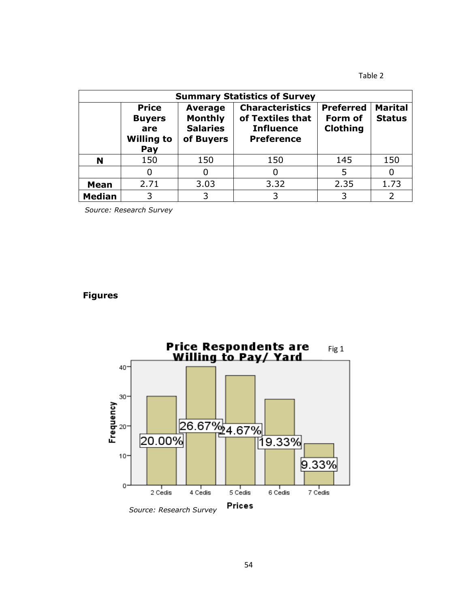Table 2

| <b>Summary Statistics of Survey</b> |                                                                                                                                      |      |                                                                                     |                                                |                                 |  |
|-------------------------------------|--------------------------------------------------------------------------------------------------------------------------------------|------|-------------------------------------------------------------------------------------|------------------------------------------------|---------------------------------|--|
|                                     | <b>Price</b><br><b>Average</b><br><b>Monthly</b><br><b>Buyers</b><br><b>Salaries</b><br>are<br><b>Willing to</b><br>of Buyers<br>Pay |      | <b>Characteristics</b><br>of Textiles that<br><b>Influence</b><br><b>Preference</b> | <b>Preferred</b><br>Form of<br><b>Clothing</b> | <b>Marital</b><br><b>Status</b> |  |
| N                                   | 150                                                                                                                                  | 150  | 150                                                                                 | 145                                            | 150                             |  |
|                                     |                                                                                                                                      | 0    |                                                                                     | 5                                              |                                 |  |
| <b>Mean</b>                         | 2.71                                                                                                                                 | 3.03 | 3.32                                                                                | 2.35                                           | 1.73                            |  |
| <b>Median</b>                       | 3                                                                                                                                    | 3    |                                                                                     | 3                                              |                                 |  |

*Source: Research Survey*

# <span id="page-60-0"></span>**Figures**

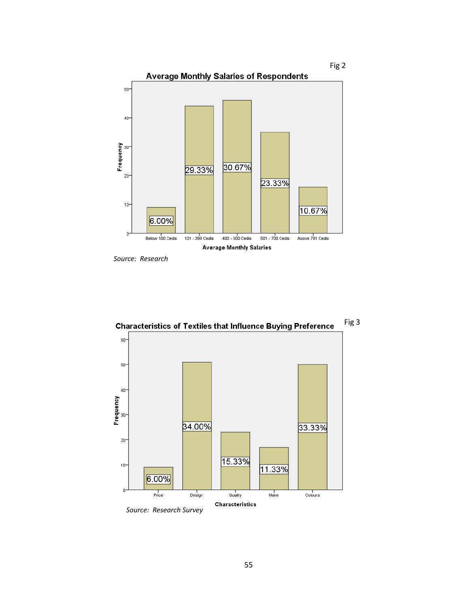

 *Source: Research* 



Fig 3 **Characteristics of Textiles that Influence Buying Preference**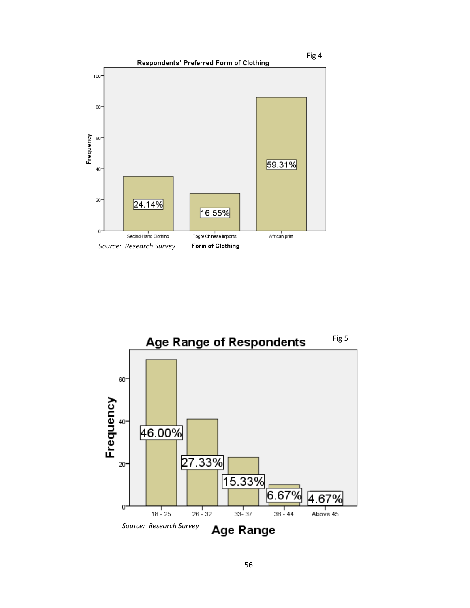

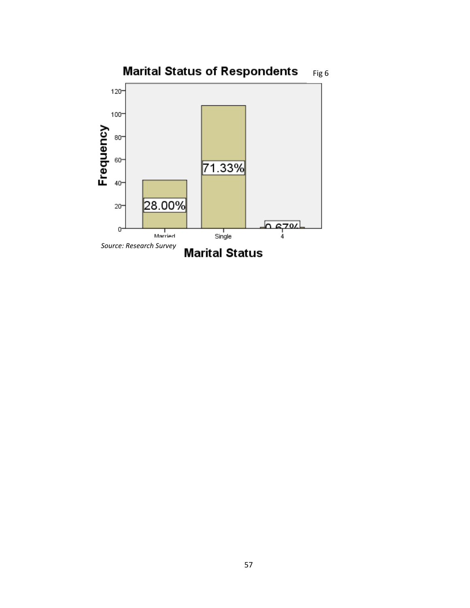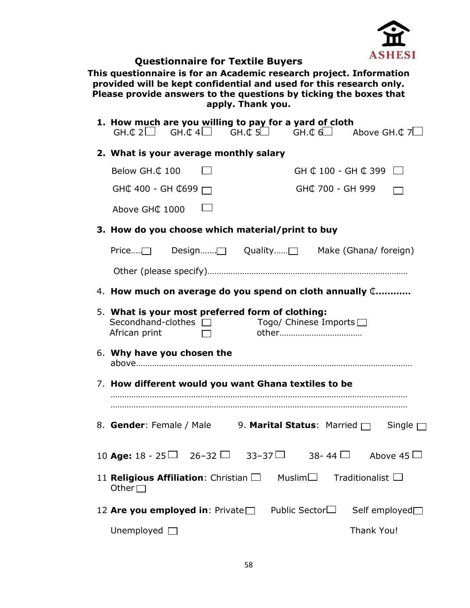

# <span id="page-64-0"></span>**Questionnaire for Textile Buyers**

**This questionnaire is for an Academic research project. Information provided will be kept confidential and used for this research only. Please provide answers to the questions by ticking the boxes that apply. Thank you.**

| 1. How much are you willing to pay for a yard of cloth<br>GH. $\mathfrak{C}$ 2 GH. $\mathfrak{C}$ 4 GH. $\mathfrak{C}$ 5 GH. $\mathfrak{C}$ GH. $\mathfrak{C}$ d Above GH. $\mathfrak{C}$ 7 |                                              |
|---------------------------------------------------------------------------------------------------------------------------------------------------------------------------------------------|----------------------------------------------|
| 2. What is your average monthly salary                                                                                                                                                      |                                              |
| Below GH.C 100                                                                                                                                                                              | GH $\text{C}$ 100 - GH $\text{C}$ 399        |
| GH¢ 400 - GH ¢699 $\Box$                                                                                                                                                                    | GH¢ 700 - GH 999                             |
| Above GHC 1000                                                                                                                                                                              |                                              |
| 3. How do you choose which material/print to buy                                                                                                                                            |                                              |
| Price $\Box$                                                                                                                                                                                |                                              |
|                                                                                                                                                                                             |                                              |
| 4. How much on average do you spend on cloth annually $\mathbb{C}_{\dots}$                                                                                                                  |                                              |
| 5. What is your most preferred form of clothing:<br>Secondhand-clothes □ Togo/ Chinese Imports □<br>African print                                                                           |                                              |
| 6. Why have you chosen the                                                                                                                                                                  |                                              |
| 7. How different would you want Ghana textiles to be                                                                                                                                        |                                              |
|                                                                                                                                                                                             |                                              |
| 8. Gender: Female / Male 9. Marital Status: Married □ Single                                                                                                                                |                                              |
| 10 Age: 18 - 25 $\Box$ 26-32 $\Box$ 33-37 $\Box$ 38-44 $\Box$ Above 45                                                                                                                      |                                              |
| 11 <b>Religious Affiliation</b> : Christian $\Box$<br>Other $\Box$                                                                                                                          | Muslim $\square$<br>Traditionalist $\square$ |
| 12 Are you employed in: Private $\square$                                                                                                                                                   | Public Sector $\Box$<br>Self employed□       |
| Unemployed $\square$                                                                                                                                                                        | Thank You!                                   |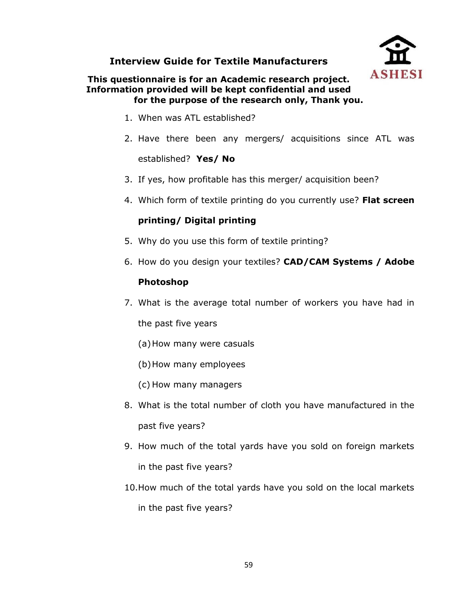# <span id="page-65-0"></span>**Interview Guide for Textile Manufacturers**



# **This questionnaire is for an Academic research project. Information provided will be kept confidential and used for the purpose of the research only, Thank you.**

- 1. When was ATL established?
- 2. Have there been any mergers/ acquisitions since ATL was established? **Yes/ No**
- 3. If yes, how profitable has this merger/ acquisition been?
- 4. Which form of textile printing do you currently use? **Flat screen**

# **printing/ Digital printing**

- 5. Why do you use this form of textile printing?
- 6. How do you design your textiles? **CAD/CAM Systems / Adobe**

# **Photoshop**

- 7. What is the average total number of workers you have had in the past five years
	- (a)How many were casuals
	- (b)How many employees
	- (c) How many managers
- 8. What is the total number of cloth you have manufactured in the past five years?
- 9. How much of the total yards have you sold on foreign markets in the past five years?
- 10.How much of the total yards have you sold on the local markets in the past five years?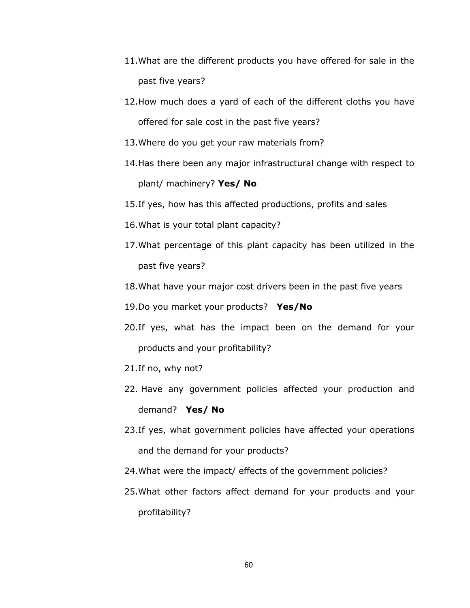- 11.What are the different products you have offered for sale in the past five years?
- 12.How much does a yard of each of the different cloths you have offered for sale cost in the past five years?
- 13.Where do you get your raw materials from?
- 14.Has there been any major infrastructural change with respect to plant/ machinery? **Yes/ No**
- 15.If yes, how has this affected productions, profits and sales
- 16.What is your total plant capacity?
- 17.What percentage of this plant capacity has been utilized in the past five years?
- 18.What have your major cost drivers been in the past five years
- 19.Do you market your products? **Yes/No**
- 20.If yes, what has the impact been on the demand for your products and your profitability?
- 21.If no, why not?
- 22. Have any government policies affected your production and demand? **Yes/ No**
- 23.If yes, what government policies have affected your operations and the demand for your products?
- 24.What were the impact/ effects of the government policies?
- 25.What other factors affect demand for your products and your profitability?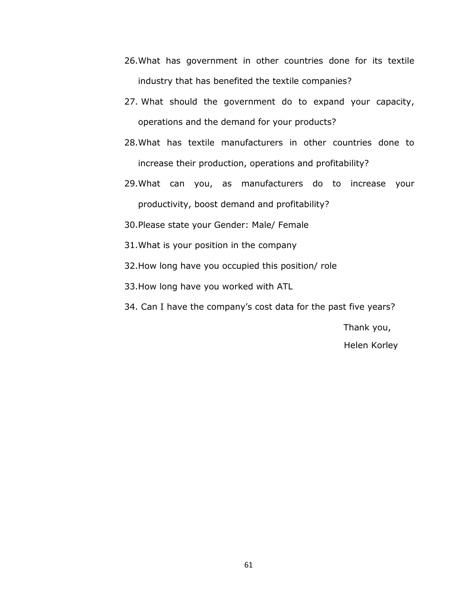- 26.What has government in other countries done for its textile industry that has benefited the textile companies?
- 27. What should the government do to expand your capacity, operations and the demand for your products?
- 28.What has textile manufacturers in other countries done to increase their production, operations and profitability?
- 29.What can you, as manufacturers do to increase your productivity, boost demand and profitability?
- 30.Please state your Gender: Male/ Female
- 31.What is your position in the company
- 32.How long have you occupied this position/ role
- 33.How long have you worked with ATL
- 34. Can I have the company's cost data for the past five years?

 Thank you, Helen Korley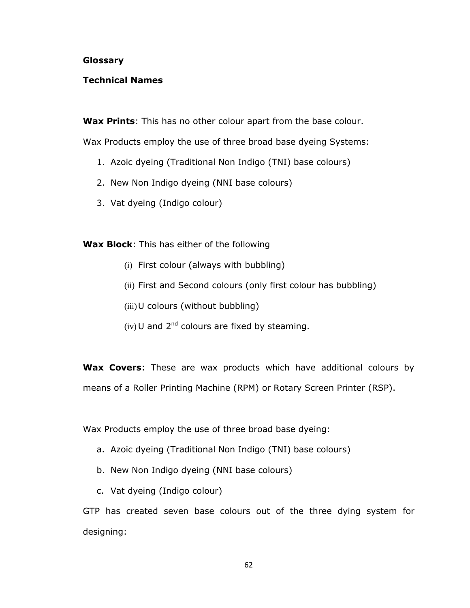#### <span id="page-68-0"></span>**Glossary**

# **Technical Names**

**Wax Prints**: This has no other colour apart from the base colour.

Wax Products employ the use of three broad base dyeing Systems:

- 1. Azoic dyeing (Traditional Non Indigo (TNI) base colours)
- 2. New Non Indigo dyeing (NNI base colours)
- 3. Vat dyeing (Indigo colour)

**Wax Block**: This has either of the following

- (i) First colour (always with bubbling)
- (ii) First and Second colours (only first colour has bubbling)
- (iii)U colours (without bubbling)
- (iv) U and  $2^{nd}$  colours are fixed by steaming.

**Wax Covers**: These are wax products which have additional colours by means of a Roller Printing Machine (RPM) or Rotary Screen Printer (RSP).

Wax Products employ the use of three broad base dyeing:

- a. Azoic dyeing (Traditional Non Indigo (TNI) base colours)
- b. New Non Indigo dyeing (NNI base colours)
- c. Vat dyeing (Indigo colour)

GTP has created seven base colours out of the three dying system for designing: